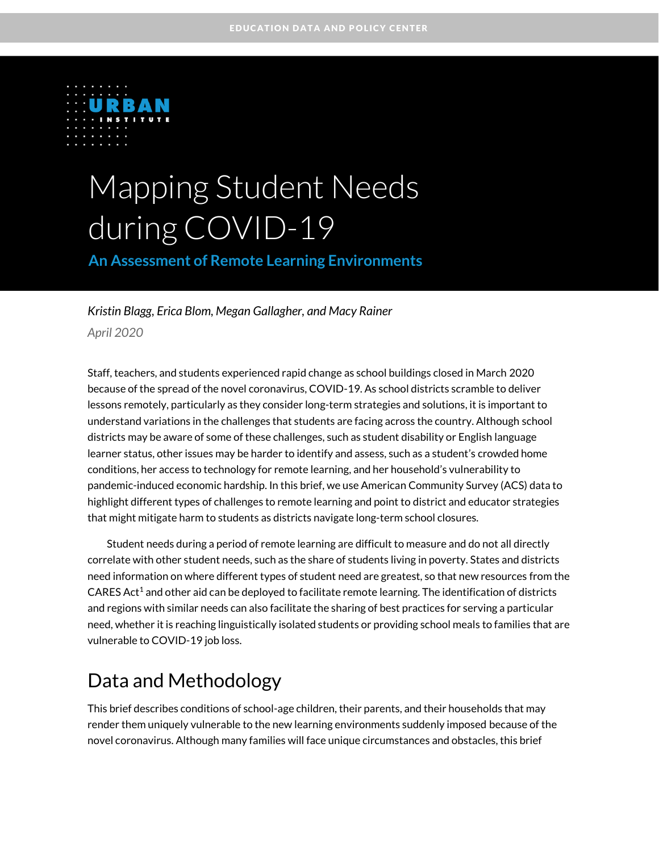

# Mapping Student Needs during COVID-19

# **An Assessment of Remote Learning Environments**

*Kristin Blagg, Erica Blom, Megan Gallagher, and Macy Rainer*

*April 2020*

Staff, teachers, and students experienced rapid change as school buildings closed in March 2020 because of the spread of the novel coronavirus, COVID-19. As school districts scramble to deliver lessons remotely, particularly as they consider long-term strategies and solutions, it is important to understand variations in the challenges that students are facing across the country. Although school districts may be aware of some of these challenges, such as student disability or English language learner status, other issues may be harder to identify and assess, such as a student's crowded home conditions, her access to technology for remote learning, and her household's vulnerability to pandemic-induced economic hardship. In this brief, we use American Community Survey (ACS) data to highlight different types of challenges to remote learning and point to district and educator strategies that might mitigate harm to students as districts navigate long-term school closures.

Student needs during a period of remote learning are difficult to measure and do not all directly correlate with other student needs, such as the share of students living in poverty. States and districts need information on where different types of student need are greatest, so that new resources from the CARES Act<sup>1</sup> and other aid can be deployed to facilitate remote learning. The identification of districts and regions with similar needs can also facilitate the sharing of best practices for serving a particular need, whether it is reaching linguistically isolated students or providing school meals to families that are vulnerable to COVID-19 job loss.

# Data and Methodology

This brief describes conditions of school-age children, their parents, and their households that may render them uniquely vulnerable to the new learning environments suddenly imposed because of the novel coronavirus. Although many families will face unique circumstances and obstacles, this brief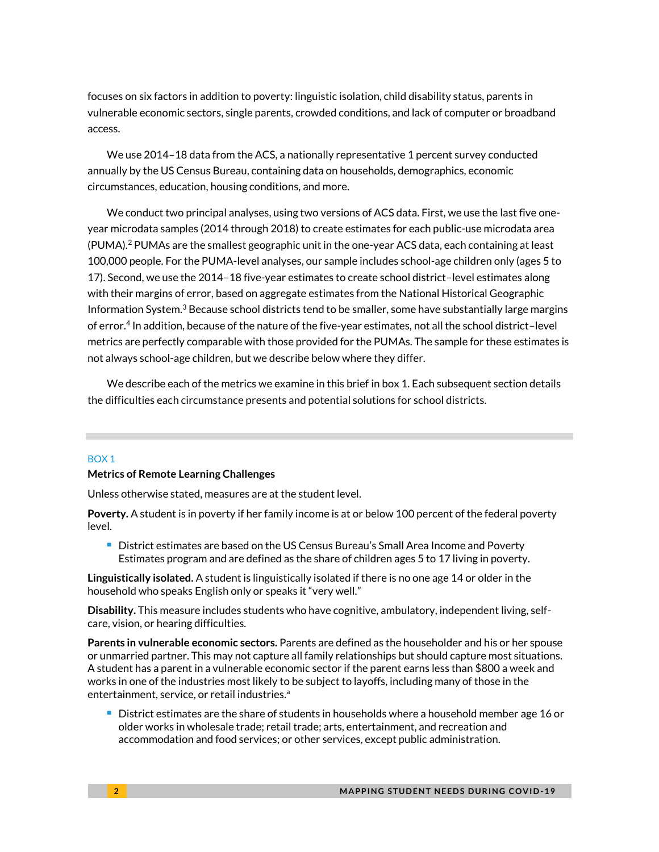focuses on six factors in addition to poverty: linguistic isolation, child disability status, parents in vulnerable economic sectors, single parents, crowded conditions, and lack of computer or broadband access.

We use 2014–18 data from the ACS, a nationally representative 1 percent survey conducted annually by the US Census Bureau, containing data on households, demographics, economic circumstances, education, housing conditions, and more.

We conduct two principal analyses, using two versions of ACS data. First, we use the last five oneyear microdata samples (2014 through 2018) to create estimates for each public-use microdata area (PUMA).<sup>2</sup> PUMAs are the smallest geographic unit in the one-year ACS data, each containing at least 100,000 people. For the PUMA-level analyses, our sample includes school-age children only (ages 5 to 17). Second, we use the 2014–18 five-year estimates to create school district–level estimates along with their margins of error, based on aggregate estimates from the National Historical Geographic Information System. <sup>3</sup> Because school districts tend to be smaller, some have substantially large margins of error. 4 In addition, because of the nature of the five-year estimates, not all the school district–level metrics are perfectly comparable with those provided for the PUMAs. The sample for these estimates is not always school-age children, but we describe below where they differ.

We describe each of the metrics we examine in this brief in box 1. Each subsequent section details the difficulties each circumstance presents and potential solutions for school districts.

#### BOX 1

#### **Metrics of Remote Learning Challenges**

Unless otherwise stated, measures are at the student level.

**Poverty.** A student is in poverty if her family income is at or below 100 percent of the federal poverty level.

**District estimates are based on the US Census Bureau's Small Area Income and Poverty** Estimates program and are defined as the share of children ages 5 to 17 living in poverty.

**Linguistically isolated.** A student is linguistically isolated if there is no one age 14 or older in the household who speaks English only or speaks it "very well."

**Disability.** This measure includes students who have cognitive, ambulatory, independent living, selfcare, vision, or hearing difficulties.

**Parents in vulnerable economic sectors.** Parents are defined as the householder and his or her spouse or unmarried partner. This may not capture all family relationships but should capture most situations. A student has a parent in a vulnerable economic sector if the parent earns less than \$800 a week and works in one of the industries most likely to be subject to layoffs, including many of those in the entertainment, service, or retail industries.<sup>a</sup>

**District estimates are the share of students in households where a household member age 16 or** older works in wholesale trade; retail trade; arts, entertainment, and recreation and accommodation and food services; or other services, except public administration.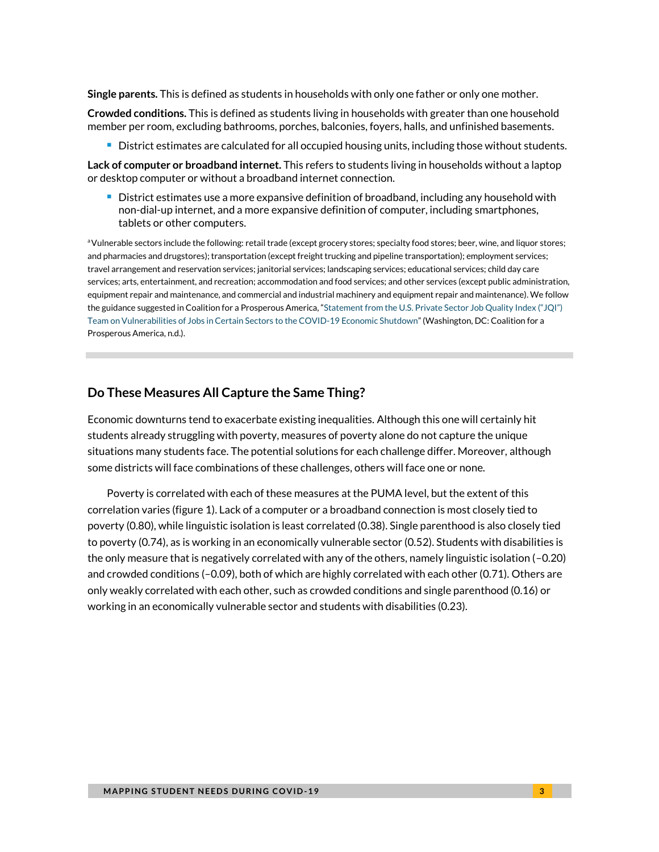**Single parents.** This is defined as students in households with only one father or only one mother.

**Crowded conditions.** This is defined as students living in households with greater than one household member per room, excluding bathrooms, porches, balconies, foyers, halls, and unfinished basements.

District estimates are calculated for all occupied housing units, including those without students.

**Lack of computer or broadband internet.** This refers to students living in households without a laptop or desktop computer or without a broadband internet connection.

District estimates use a more expansive definition of broadband, including any household with non-dial-up internet, and a more expansive definition of computer, including smartphones, tablets or other computers.

aVulnerable sectors include the following: retail trade (except grocery stores; specialty food stores; beer, wine, and liquor stores; and pharmacies and drugstores); transportation (except freight trucking and pipeline transportation); employment services; travel arrangement and reservation services; janitorial services; landscaping services; educational services; child day care services; arts, entertainment, and recreation; accommodation and food services; and other services (except public administration, equipment repair and maintenance, and commercial and industrial machinery and equipment repair and maintenance). We follow the guidance suggested in Coalition for a Prosperous America, ["Statement from the U.S. Private Sector Job Quality Index \("JQI"\)](https://d3n8a8pro7vhmx.cloudfront.net/prosperousamerica/pages/5561/attachments/original/1587123672/JQI_Team_Statement_One_on_COVID-19_Economic_Shutdown_Job_Impact_031920.pdf?1587123672) [Team on Vulnerabilities of Jobs in Certain Sectors to the COVID-19 Economic Shutdown](https://d3n8a8pro7vhmx.cloudfront.net/prosperousamerica/pages/5561/attachments/original/1587123672/JQI_Team_Statement_One_on_COVID-19_Economic_Shutdown_Job_Impact_031920.pdf?1587123672)" (Washington, DC: Coalition for a Prosperous America, n.d.).

# **Do These Measures All Capture the Same Thing?**

Economic downturns tend to exacerbate existing inequalities. Although this one will certainly hit students already struggling with poverty, measures of poverty alone do not capture the unique situations many students face. The potential solutions for each challenge differ. Moreover, although some districts will face combinations of these challenges, others will face one or none.

Poverty is correlated with each of these measures at the PUMA level, but the extent of this correlation varies (figure 1). Lack of a computer or a broadband connection is most closely tied to poverty (0.80), while linguistic isolation is least correlated (0.38). Single parenthood is also closely tied to poverty (0.74), as is working in an economically vulnerable sector (0.52). Students with disabilities is the only measure that is negatively correlated with any of the others, namely linguistic isolation (–0.20) and crowded conditions (–0.09), both of which are highly correlated with each other (0.71). Others are only weakly correlated with each other, such as crowded conditions and single parenthood (0.16) or working in an economically vulnerable sector and students with disabilities (0.23).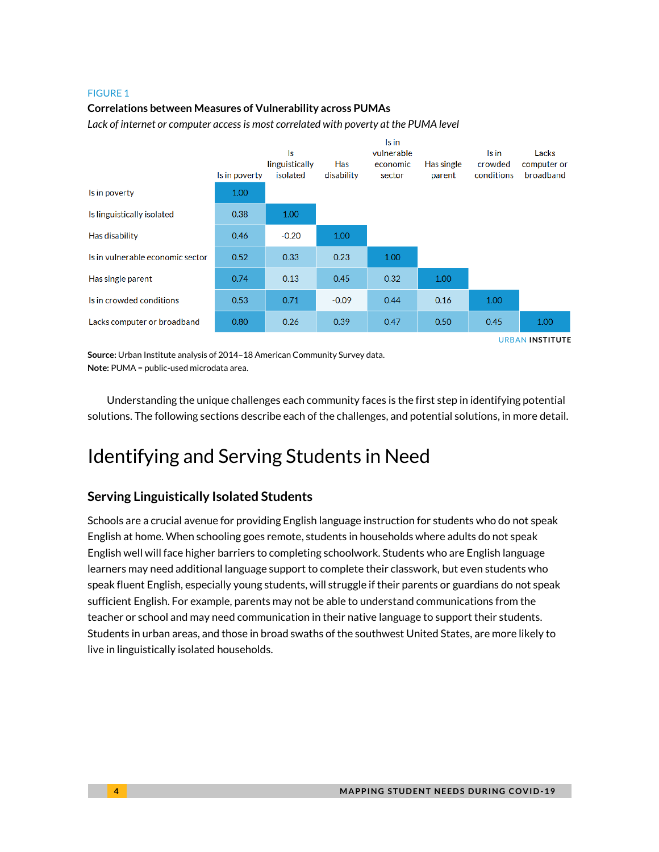#### FIGURE 1

#### **Correlations between Measures of Vulnerability across PUMAs**

Is in **Is** vulnerable Is in Lacks linguistically Has economic Has single crowded computer or broadband Is in poverty isolated disability sector parent conditions 1.00 Is in poverty Is linguistically isolated 0.38 1.00 **Has disability** 0.46  $-0.20$ 1.00 Is in vulnerable economic sector 0.52 0.33 0.23 1.00 Has single parent 0.74 0.13  $0.45$ 0.32 1.00 Is in crowded conditions 0.53  $0.71$  $-0.09$ 0.44  $0.16$ 1.00 Lacks computer or broadband 0.80 0.26 0.39 0.47 0.50 0.45 1.00 URBAN **INSTITUTE**

*Lack of internet or computer access is most correlated with poverty at the PUMA level*

**Source:** Urban Institute analysis of 2014–18 American Community Survey data. **Note:** PUMA = public-used microdata area.

Understanding the unique challenges each community faces is the first step in identifying potential solutions. The following sections describe each of the challenges, and potential solutions, in more detail.

# Identifying and Serving Students in Need

# **Serving Linguistically Isolated Students**

Schools are a crucial avenue for providing English language instruction for students who do not speak English at home. When schooling goes remote, students in households where adults do not speak English well will face higher barriers to completing schoolwork. Students who are English language learners may need additional language support to complete their classwork, but even students who speak fluent English, especially young students, will struggle if their parents or guardians do not speak sufficient English. For example, parents may not be able to understand communications from the teacher or school and may need communication in their native language to support their students. Students in urban areas, and those in broad swaths of the southwest United States, are more likely to live in linguistically isolated households.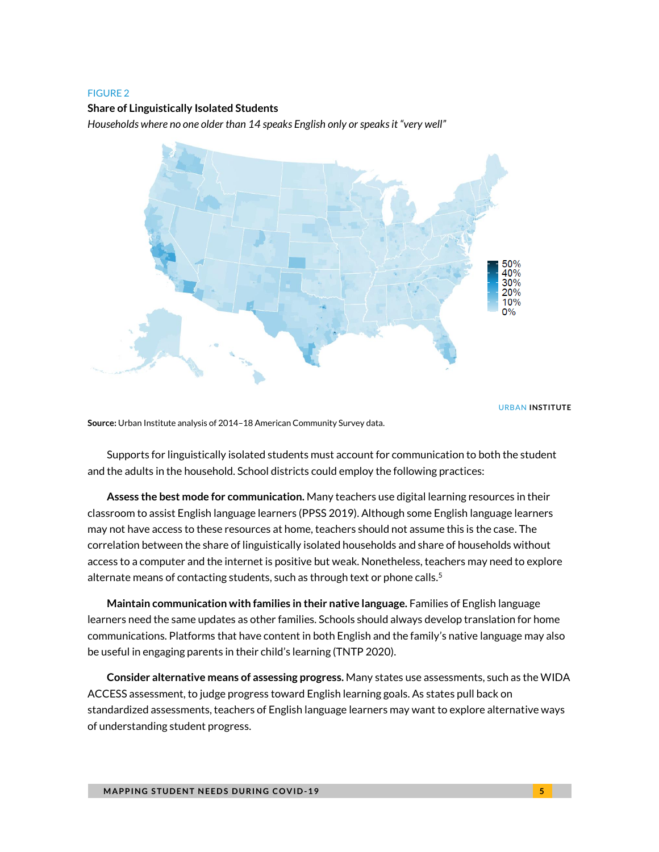#### FIGURE 2

#### **Share of Linguistically Isolated Students**

*Households where no one older than 14 speaks English only or speaks it "very well"*



URBAN **INSTITUTE**

**Source:** Urban Institute analysis of 2014–18 American Community Survey data.

Supports for linguistically isolated students must account for communication to both the student and the adults in the household. School districts could employ the following practices:

**Assess the best mode for communication.** Many teachers use digital learning resources in their classroom to assist English language learners [\(PPSS](https://www2.ed.gov/rschstat/eval/title-iii/180414-dlr-results-in-brief.pdf) 2019). Although some English language learners may not have access to these resources at home, teachers should not assume this is the case. The correlation between the share of linguistically isolated households and share of households without access to a computer and the internet is positive but weak. Nonetheless, teachers may need to explore alternate means of contacting students, such as through text or phone calls. 5

**Maintain communication with families in their native language.** Families of English language learners need the same updates as other families. Schools should always develop translation for home communications. Platforms that have content in both English and the family's native language may also be useful in engaging parents in their child's learning (TNTP 2020).

**Consider alternative means of assessing progress.** Many states use assessments, such as the WIDA ACCESS assessment, to judge progress toward English learning goals. As states pull back on standardized assessments, teachers of English language learners may want to explore alternative ways of understanding student progress.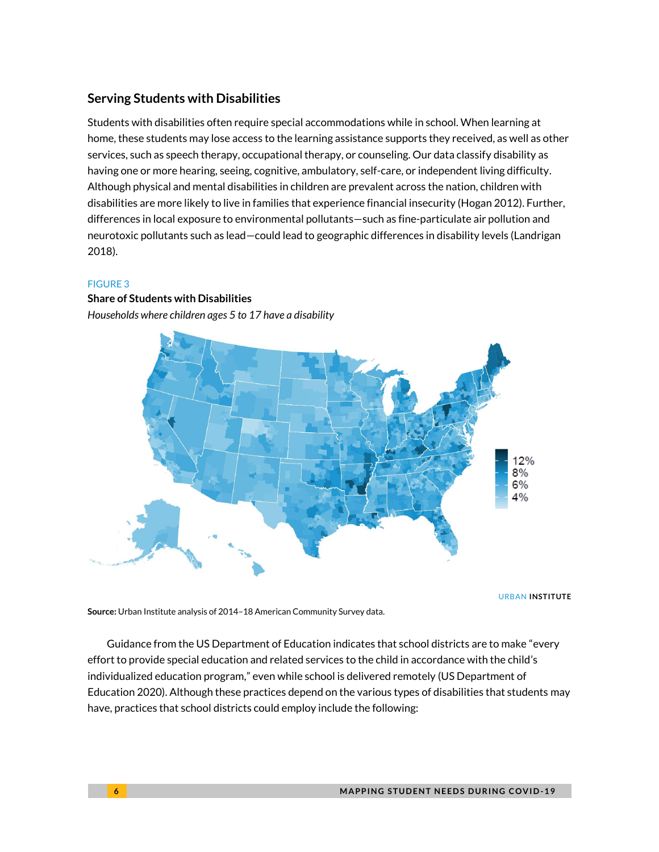# **Serving Students with Disabilities**

Students with disabilities often require special accommodations while in school. When learning at home, these students may lose access to the learning assistance supports they received, as well as other services, such as speech therapy, occupational therapy, or counseling. Our data classify disability as having one or more hearing, seeing, cognitive, ambulatory, self-care, or independent living difficulty. Although physical and mental disabilities in children are prevalent across the nation, children with disabilities are more likely to live in families that experience financial insecurity (Hogan 2012). Further, differences in local exposure to environmental pollutants—such as fine-particulate air pollution and neurotoxic pollutants such as lead—could lead to geographic differences in disability levels (Landrigan 2018).

### FIGURE 3

#### **Share of Students with Disabilities**

*Households where children ages 5 to 17 have a disability*



URBAN **INSTITUTE**

**Source:** Urban Institute analysis of 2014–18 American Community Survey data.

Guidance from the US Department of Education indicates that school districts are to make "every effort to provide special education and related services to the child in accordance with the child's individualized education program," even while school is delivered remotely (US Department of Education 2020). Although these practices depend on the various types of disabilities that students may have, practices that school districts could employ include the following: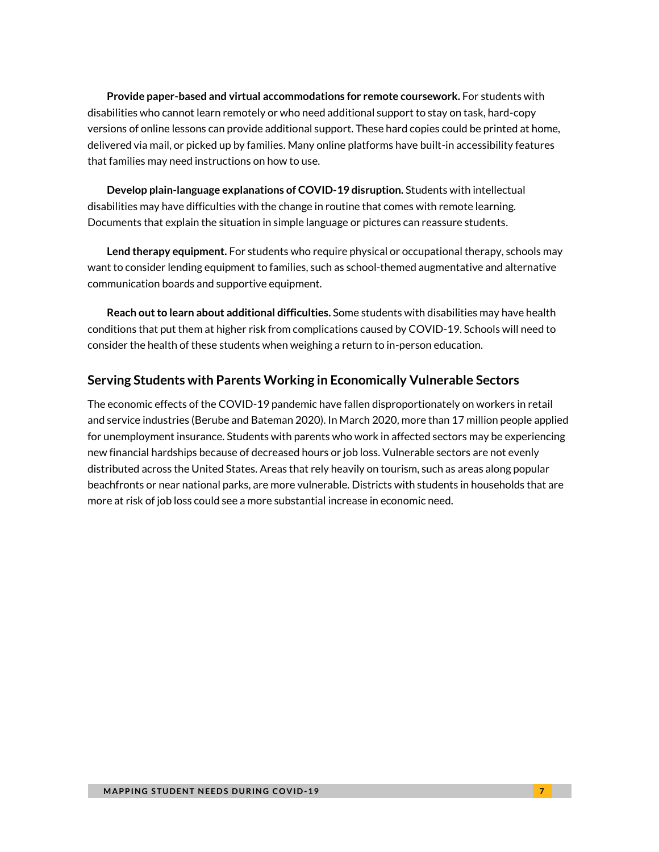**Provide paper-based and virtual accommodations for remote coursework.** For students with disabilities who cannot learn remotely or who need additional support to stay on task, hard-copy versions of online lessons can provide additional support. These hard copies could be printed at home, delivered via mail, or picked up by families. Many online platforms have built-in accessibility features that families may need instructions on how to use.

**Develop plain-language explanations of COVID-19 disruption.** Students with intellectual disabilities may have difficulties with the change in routine that comes with remote learning. Documents that explain the situation in simple language or pictures can reassure students.

**Lend therapy equipment.** For students who require physical or occupational therapy, schools may want to consider lending equipment to families, such as school-themed augmentative and alternative communication boards and supportive equipment.

**Reach out to learn about additional difficulties.** Some students with disabilities may have health conditions that put them at higher risk from complications caused by COVID-19. Schools will need to consider the health of these students when weighing a return to in-person education.

# **Serving Students with Parents Working in Economically Vulnerable Sectors**

The economic effects of the COVID-19 pandemic have fallen disproportionately on workers in retail and service industries (Berube and Bateman 2020). In March 2020, more than 17 million people applied for unemployment insurance. Students with parents who work in affected sectors may be experiencing new financial hardships because of decreased hours or job loss. Vulnerable sectors are not evenly distributed across the United States. Areas that rely heavily on tourism, such as areas along popular beachfronts or near national parks, are more vulnerable. Districts with students in households that are more at risk of job loss could see a more substantial increase in economic need.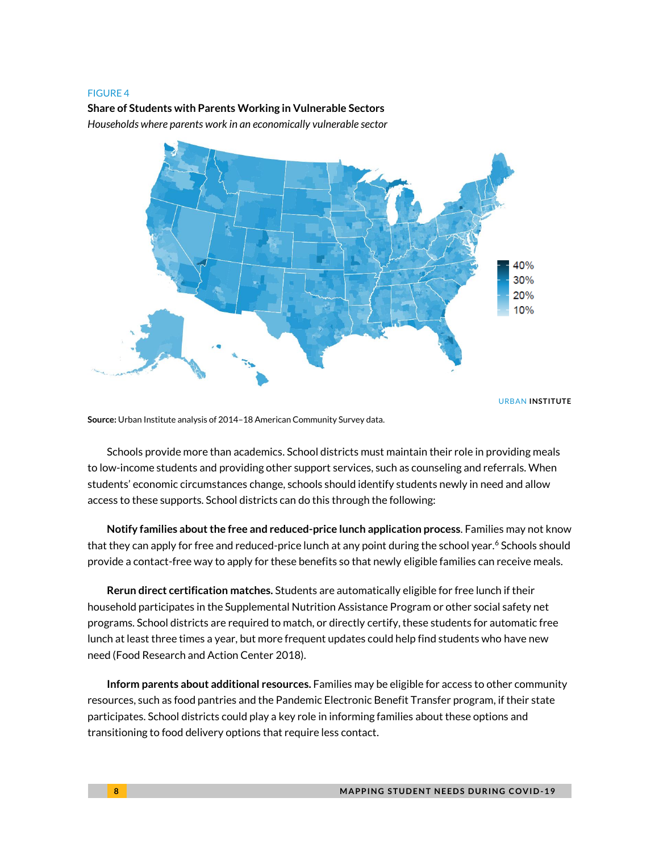#### FIGURE 4

#### **Share of Students with Parents Working in Vulnerable Sectors**

*Households where parents work in an economically vulnerable sector*



URBAN **INSTITUTE**

**Source:** Urban Institute analysis of 2014–18 American Community Survey data.

Schools provide more than academics. School districts must maintain their role in providing meals to low-income students and providing other support services, such as counseling and referrals. When students' economic circumstances change, schools should identify students newly in need and allow access to these supports. School districts can do this through the following:

**Notify families about the free and reduced-price lunch application process**. Families may not know that they can apply for free and reduced-price lunch at any point during the school year. <sup>6</sup> Schools should provide a contact-free way to apply for these benefits so that newly eligible families can receive meals.

**Rerun direct certification matches.** Students are automatically eligible for free lunch if their household participates in the Supplemental Nutrition Assistance Program or other social safety net programs. School districts are required to match, or directly certify, these students for automatic free lunch at least three times a year, but more frequent updates could help find students who have new need (Food Research and Action Center 2018).

**Inform parents about additional resources.** Families may be eligible for access to other community resources, such as food pantries and the Pandemic Electronic Benefit Transfer program, if their state participates. School districts could play a key role in informing families about these options and transitioning to food delivery options that require less contact.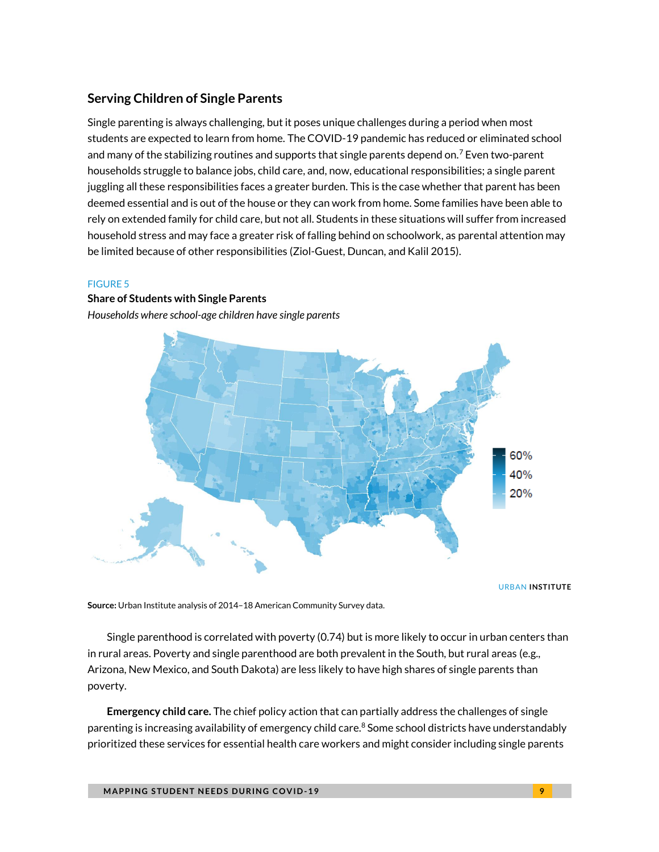# **Serving Children of Single Parents**

Single parenting is always challenging, but it poses unique challenges during a period when most students are expected to learn from home. The COVID-19 pandemic has reduced or eliminated school and many of the stabilizing routines and supports that single parents depend on.<sup>7</sup> Even two-parent households struggle to balance jobs, child care, and, now, educational responsibilities; a single parent juggling all these responsibilities faces a greater burden. This is the case whether that parent has been deemed essential and is out of the house or they can work from home. Some families have been able to rely on extended family for child care, but not all. Students in these situations will suffer from increased household stress and may face a greater risk of falling behind on schoolwork, as parental attention may be limited because of other responsibilities (Ziol-Guest, Duncan, and Kalil 2015).

#### FIGURE 5

#### **Share of Students with Single Parents**



*Households where school-age children have single parents*

URBAN **INSTITUTE**

**Source:** Urban Institute analysis of 2014–18 American Community Survey data.

Single parenthood is correlated with poverty (0.74) but is more likely to occur in urban centers than in rural areas. Poverty and single parenthood are both prevalent in the South, but rural areas (e.g., Arizona, New Mexico, and South Dakota) are less likely to have high shares of single parents than poverty.

**Emergency child care.** The chief policy action that can partially address the challenges of single parenting is increasing availability of emergency child care. <sup>8</sup> Some school districts have understandably prioritized these services for essential health care workers and might consider including single parents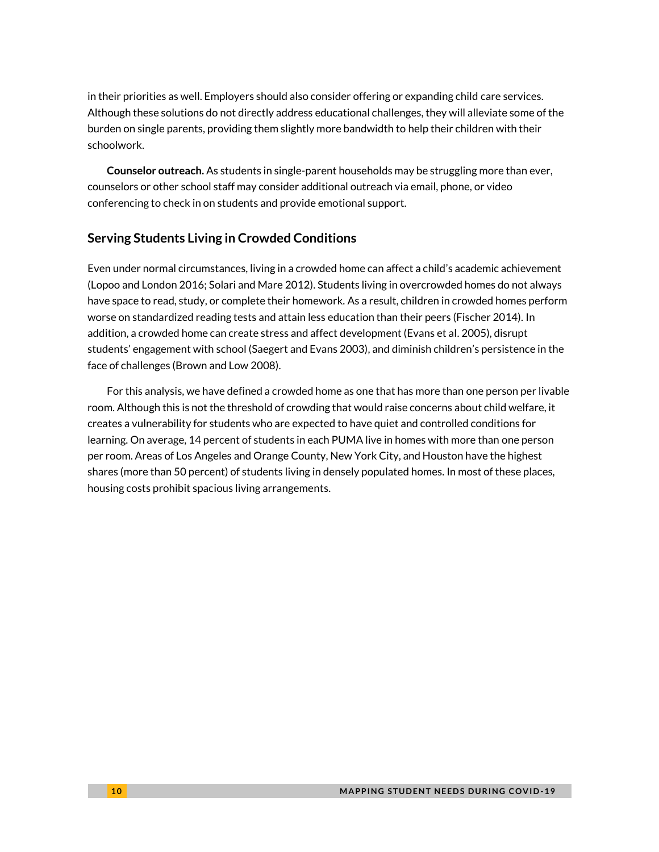in their priorities as well. Employers should also consider offering or expanding child care services. Although these solutions do not directly address educational challenges, they will alleviate some of the burden on single parents, providing them slightly more bandwidth to help their children with their schoolwork.

**Counselor outreach.** As students in single-parent households may be struggling more than ever, counselors or other school staff may consider additional outreach via email, phone, or video conferencing to check in on students and provide emotional support.

# **Serving Students Living in Crowded Conditions**

Even under normal circumstances, living in a crowded home can affect a child's academic achievement (Lopoo and London 2016; Solari and Mare 2012). Students living in overcrowded homes do not always have space to read, study, or complete their homework. As a result, children in crowded homes perform worse on standardized reading tests and attain less education than their peers (Fischer 2014). In addition, a crowded home can create stress and affect development (Evans et al. 2005), disrupt students' engagement with school (Saegert and Evans 2003), and diminish children's persistence in the face of challenges (Brown and Low 2008).

For this analysis, we have defined a crowded home as one that has more than one person per livable room. Although this is not the threshold of crowding that would raise concerns about child welfare, it creates a vulnerability for students who are expected to have quiet and controlled conditions for learning. On average, 14 percent of students in each PUMA live in homes with more than one person per room. Areas of Los Angeles and Orange County, New York City, and Houston have the highest shares (more than 50 percent) of students living in densely populated homes. In most of these places, housing costs prohibit spacious living arrangements.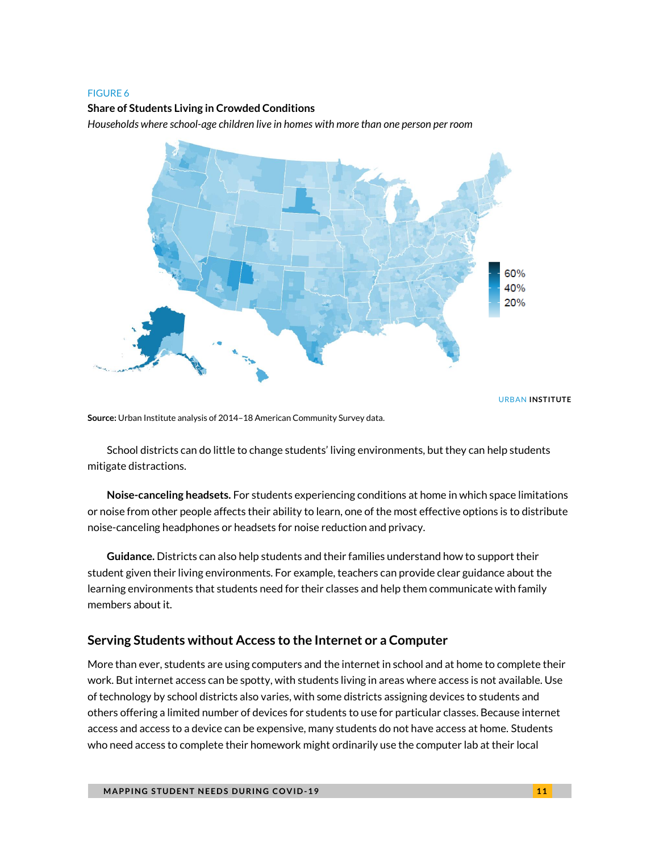#### FIGURE 6

#### **Share of Students Living in Crowded Conditions**

*Households where school-age children live in homes with more than one person per room*



URBAN **INSTITUTE**

**Source:** Urban Institute analysis of 2014–18 American Community Survey data.

School districts can do little to change students' living environments, but they can help students mitigate distractions.

**Noise-canceling headsets.** For students experiencing conditions at home in which space limitations or noise from other people affects their ability to learn, one of the most effective options is to distribute noise-canceling headphones or headsets for noise reduction and privacy.

**Guidance.** Districts can also help students and their families understand how to support their student given their living environments. For example, teachers can provide clear guidance about the learning environments that students need for their classes and help them communicate with family members about it.

### **Serving Students without Access to the Internet or a Computer**

More than ever, students are using computers and the internet in school and at home to complete their work. But internet access can be spotty, with students living in areas where access is not available. Use of technology by school districts also varies, with some districts assigning devices to students and others offering a limited number of devices for students to use for particular classes. Because internet access and access to a device can be expensive, many students do not have access at home. Students who need access to complete their homework might ordinarily use the computer lab at their local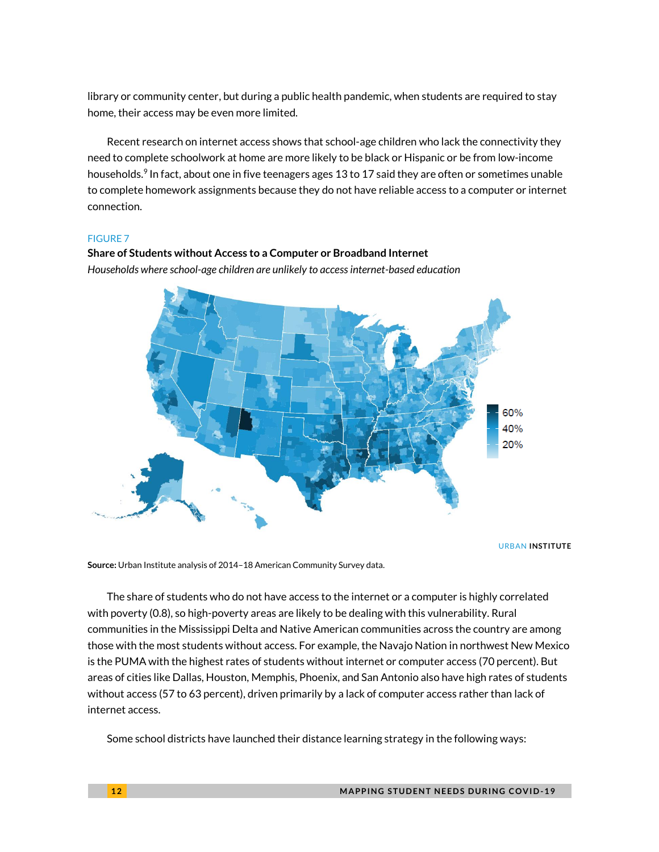library or community center, but during a public health pandemic, when students are required to stay home, their access may be even more limited.

Recent research on internet access shows that school-age children who lack the connectivity they need to complete schoolwork at home are more likely to be black or Hispanic or be from low-income households.<sup>9</sup> In fact, about one in five teenagers ages 13 to 17 said they are often or sometimes unable to complete homework assignments because they do not have reliable access to a computer or internet connection.

#### FIGURE 7



**Share of Students without Access to a Computer or Broadband Internet**  *Households where school-age children are unlikely to access internet-based education*

URBAN **INSTITUTE**

**Source:** Urban Institute analysis of 2014–18 American Community Survey data.

The share of students who do not have access to the internet or a computer is highly correlated with poverty (0.8), so high-poverty areas are likely to be dealing with this vulnerability. Rural communities in the Mississippi Delta and Native American communities across the country are among those with the most students without access. For example, the Navajo Nation in northwest New Mexico is the PUMA with the highest rates of students without internet or computer access (70 percent). But areas of cities like Dallas, Houston, Memphis, Phoenix, and San Antonio also have high rates of students without access (57 to 63 percent), driven primarily by a lack of computer access rather than lack of internet access.

Some school districts have launched their distance learning strategy in the following ways: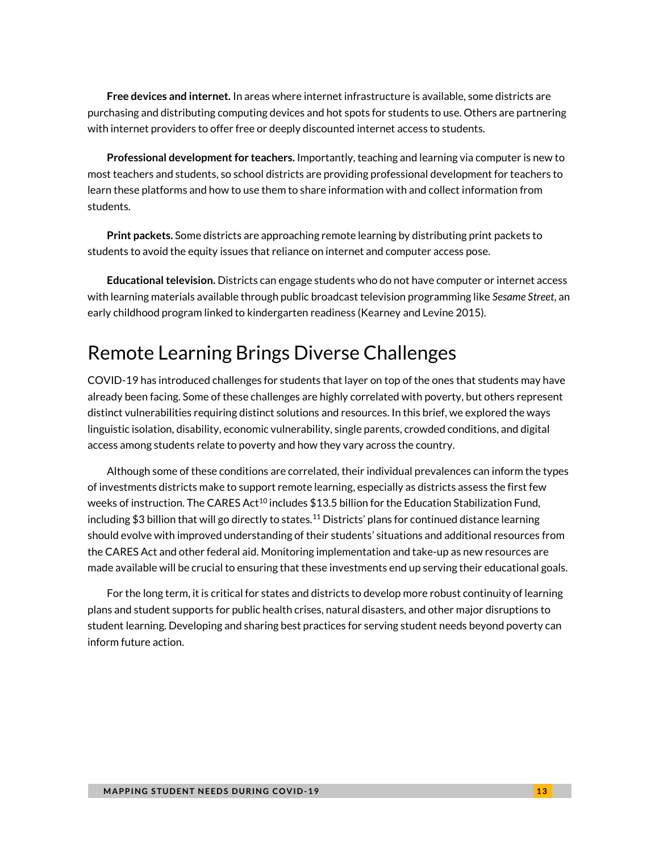**Free devices and internet.** In areas where internet infrastructure is available, some districts are purchasing and distributing computing devices and hot spots for students to use. Others are partnering with internet providers to offer free or deeply discounted internet access to students.

**Professional development for teachers.** Importantly, teaching and learning via computer is new to most teachers and students, so school districts are providing professional development for teachers to learn these platforms and how to use them to share information with and collect information from students.

**Print packets.** Some districts are approaching remote learning by distributing print packets to students to avoid the equity issues that reliance on internet and computer access pose.

**Educational television.** Districts can engage students who do not have computer or internet access with learning materials available through public broadcast television programming like *Sesame Street*, an early childhood program linked to kindergarten readiness (Kearney and Levine 2015).

# Remote Learning Brings Diverse Challenges

COVID-19 has introduced challenges for students that layer on top of the ones that students may have already been facing. Some of these challenges are highly correlated with poverty, but others represent distinct vulnerabilities requiring distinct solutions and resources. In this brief, we explored the ways linguistic isolation, disability, economic vulnerability, single parents, crowded conditions, and digital access among students relate to poverty and how they vary across the country.

Although some of these conditions are correlated, their individual prevalences can inform the types of investments districts make to support remote learning, especially as districts assess the first few weeks of instruction. The CARES Act<sup>10</sup> includes \$13.5 billion for the Education Stabilization Fund, including \$3 billion that will go directly to states.<sup>11</sup> Districts' plans for continued distance learning should evolve with improved understanding of their students' situations and additional resources from the CARES Act and other federal aid. Monitoring implementation and take-up as new resources are made available will be crucial to ensuring that these investments end up serving their educational goals.

For the long term, it is critical for states and districts to develop more robust continuity of learning plans and student supports for public health crises, natural disasters, and other major disruptions to student learning. Developing and sharing best practices for serving student needs beyond poverty can inform future action.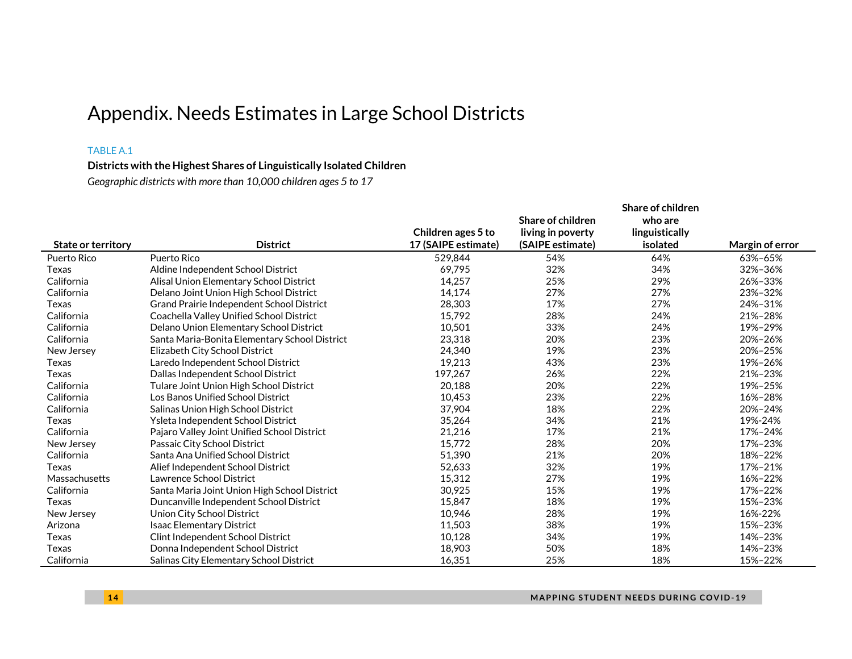# Appendix. Needs Estimates in Large School Districts

# TABLE A.1

# **Districts with the Highest Shares of Linguistically Isolated Children**

|                           |                                               |                     |                   | Share of children |                 |
|---------------------------|-----------------------------------------------|---------------------|-------------------|-------------------|-----------------|
|                           |                                               |                     | Share of children | who are           |                 |
|                           |                                               | Children ages 5 to  | living in poverty | linguistically    |                 |
| <b>State or territory</b> | <b>District</b>                               | 17 (SAIPE estimate) | (SAIPE estimate)  | isolated          | Margin of error |
| Puerto Rico               | Puerto Rico                                   | 529,844             | 54%               | 64%               | 63%-65%         |
| Texas                     | Aldine Independent School District            | 69,795              | 32%               | 34%               | 32%-36%         |
| California                | Alisal Union Elementary School District       | 14.257              | 25%               | 29%               | 26%-33%         |
| California                | Delano Joint Union High School District       | 14,174              | 27%               | 27%               | 23%-32%         |
| Texas                     | Grand Prairie Independent School District     | 28,303              | 17%               | 27%               | 24%-31%         |
| California                | Coachella Valley Unified School District      | 15,792              | 28%               | 24%               | 21%-28%         |
| California                | Delano Union Elementary School District       | 10,501              | 33%               | 24%               | 19%-29%         |
| California                | Santa Maria-Bonita Elementary School District | 23,318              | 20%               | 23%               | 20%-26%         |
| New Jersey                | Elizabeth City School District                | 24,340              | 19%               | 23%               | 20%-25%         |
| Texas                     | Laredo Independent School District            | 19,213              | 43%               | 23%               | 19%-26%         |
| Texas                     | Dallas Independent School District            | 197,267             | 26%               | 22%               | 21%-23%         |
| California                | Tulare Joint Union High School District       | 20.188              | 20%               | 22%               | 19%-25%         |
| California                | Los Banos Unified School District             | 10,453              | 23%               | 22%               | 16%-28%         |
| California                | Salinas Union High School District            | 37,904              | 18%               | 22%               | 20%-24%         |
| Texas                     | Ysleta Independent School District            | 35,264              | 34%               | 21%               | 19%-24%         |
| California                | Pajaro Valley Joint Unified School District   | 21,216              | 17%               | 21%               | 17%-24%         |
| New Jersey                | Passaic City School District                  | 15,772              | 28%               | 20%               | 17%-23%         |
| California                | Santa Ana Unified School District             | 51,390              | 21%               | 20%               | 18%-22%         |
| Texas                     | Alief Independent School District             | 52,633              | 32%               | 19%               | 17%-21%         |
| Massachusetts             | Lawrence School District                      | 15,312              | 27%               | 19%               | 16%-22%         |
| California                | Santa Maria Joint Union High School District  | 30,925              | 15%               | 19%               | 17%-22%         |
| Texas                     | Duncanville Independent School District       | 15,847              | 18%               | 19%               | 15%-23%         |
| New Jersey                | Union City School District                    | 10.946              | 28%               | 19%               | 16%-22%         |
| Arizona                   | <b>Isaac Elementary District</b>              | 11,503              | 38%               | 19%               | 15%-23%         |
| <b>Texas</b>              | Clint Independent School District             | 10,128              | 34%               | 19%               | 14%-23%         |
| Texas                     | Donna Independent School District             | 18,903              | 50%               | 18%               | 14%-23%         |
| California                | Salinas City Elementary School District       | 16,351              | 25%               | 18%               | 15%-22%         |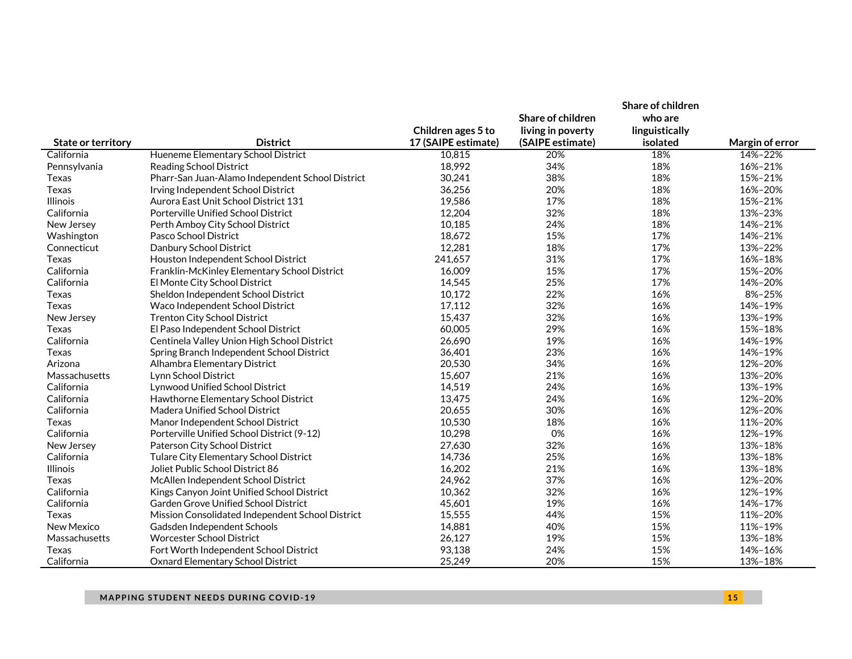|                           |                                                  |                     |                   | Share of children |                 |
|---------------------------|--------------------------------------------------|---------------------|-------------------|-------------------|-----------------|
|                           |                                                  |                     | Share of children | who are           |                 |
|                           |                                                  | Children ages 5 to  | living in poverty | linguistically    |                 |
| <b>State or territory</b> | <b>District</b>                                  | 17 (SAIPE estimate) | (SAIPE estimate)  | isolated          | Margin of error |
| California                | Hueneme Elementary School District               | 10.815              | 20%               | 18%               | 14%-22%         |
| Pennsylvania              | Reading School District                          | 18,992              | 34%               | 18%               | 16%-21%         |
| Texas                     | Pharr-San Juan-Alamo Independent School District | 30,241              | 38%               | 18%               | 15%-21%         |
| Texas                     | Irving Independent School District               | 36,256              | 20%               | 18%               | 16%-20%         |
| Illinois                  | Aurora East Unit School District 131             | 19,586              | 17%               | 18%               | 15%-21%         |
| California                | Porterville Unified School District              | 12,204              | 32%               | 18%               | 13%-23%         |
| New Jersey                | Perth Amboy City School District                 | 10,185              | 24%               | 18%               | 14%-21%         |
| Washington                | Pasco School District                            | 18,672              | 15%               | 17%               | 14%-21%         |
| Connecticut               | Danbury School District                          | 12,281              | 18%               | 17%               | 13%-22%         |
| Texas                     | Houston Independent School District              | 241,657             | 31%               | 17%               | 16%-18%         |
| California                | Franklin-McKinley Elementary School District     | 16,009              | 15%               | 17%               | 15%-20%         |
| California                | El Monte City School District                    | 14,545              | 25%               | 17%               | 14%-20%         |
| Texas                     | Sheldon Independent School District              | 10,172              | 22%               | 16%               | 8%-25%          |
| Texas                     | Waco Independent School District                 | 17,112              | 32%               | 16%               | 14%-19%         |
| New Jersey                | <b>Trenton City School District</b>              | 15,437              | 32%               | 16%               | 13%-19%         |
| Texas                     | El Paso Independent School District              | 60,005              | 29%               | 16%               | 15%-18%         |
| California                | Centinela Valley Union High School District      | 26,690              | 19%               | 16%               | 14%-19%         |
| Texas                     | Spring Branch Independent School District        | 36,401              | 23%               | 16%               | 14%-19%         |
| Arizona                   | Alhambra Elementary District                     | 20,530              | 34%               | 16%               | 12%-20%         |
| Massachusetts             | Lynn School District                             | 15,607              | 21%               | 16%               | 13%-20%         |
| California                | Lynwood Unified School District                  | 14,519              | 24%               | 16%               | 13%-19%         |
| California                | Hawthorne Elementary School District             | 13,475              | 24%               | 16%               | 12%-20%         |
| California                | Madera Unified School District                   | 20,655              | 30%               | 16%               | 12%-20%         |
| Texas                     | Manor Independent School District                | 10,530              | 18%               | 16%               | 11%-20%         |
| California                | Porterville Unified School District (9-12)       | 10,298              | 0%                | 16%               | 12%-19%         |
| New Jersey                | Paterson City School District                    | 27,630              | 32%               | 16%               | 13%-18%         |
| California                | Tulare City Elementary School District           | 14,736              | 25%               | 16%               | 13%-18%         |
| <b>Illinois</b>           | Joliet Public School District 86                 | 16,202              | 21%               | 16%               | 13%-18%         |
| Texas                     | McAllen Independent School District              | 24,962              | 37%               | 16%               | 12%-20%         |
| California                | Kings Canyon Joint Unified School District       | 10,362              | 32%               | 16%               | 12%-19%         |
| California                | Garden Grove Unified School District             | 45,601              | 19%               | 16%               | 14%-17%         |
| Texas                     | Mission Consolidated Independent School District | 15,555              | 44%               | 15%               | 11%-20%         |
| New Mexico                | Gadsden Independent Schools                      | 14,881              | 40%               | 15%               | 11%-19%         |
| Massachusetts             | <b>Worcester School District</b>                 | 26,127              | 19%               | 15%               | 13%-18%         |
| Texas                     | Fort Worth Independent School District           | 93,138              | 24%               | 15%               | 14%-16%         |
| California                | Oxnard Elementary School District                | 25,249              | 20%               | 15%               | 13%-18%         |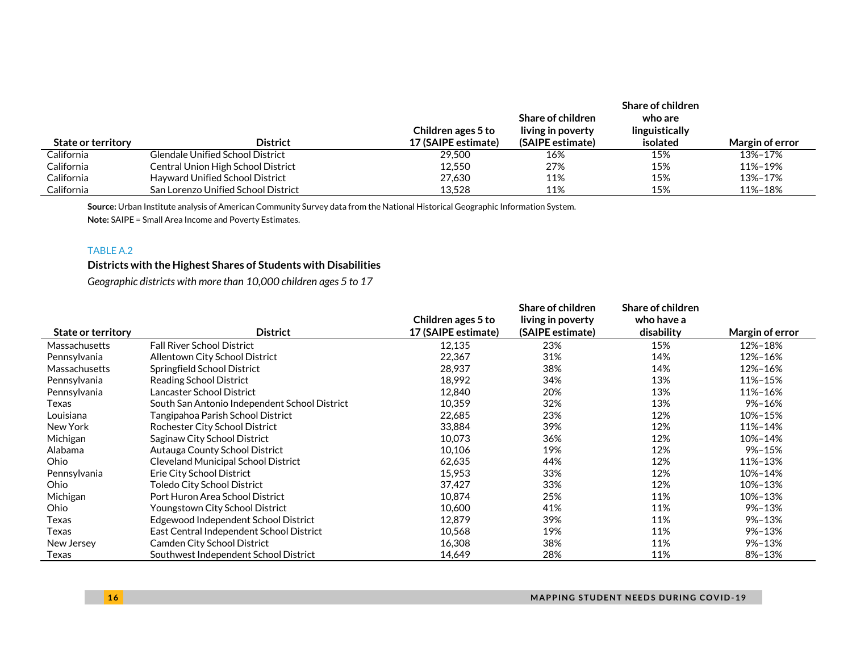|                           |                                     | Children ages 5 to         | <b>Share of children</b><br>living in poverty | Share of children<br>who are<br>linguistically |                 |
|---------------------------|-------------------------------------|----------------------------|-----------------------------------------------|------------------------------------------------|-----------------|
| <b>State or territory</b> | <b>District</b>                     | <b>17 (SAIPE estimate)</b> | (SAIPE estimate)                              | isolated                                       | Margin of error |
| California                | Glendale Unified School District    | 29,500                     | 16%                                           | 15%                                            | 13%-17%         |
| California                | Central Union High School District  | 12.550                     | 27%                                           | 15%                                            | 11%-19%         |
| California                | Hayward Unified School District     | 27.630                     | 11%                                           | 15%                                            | 13%-17%         |
| California                | San Lorenzo Unified School District | 13.528                     | 11%                                           | 15%                                            | 11%-18%         |

**Source:** Urban Institute analysis of American Community Survey data from the National Historical Geographic Information System. **Note:** SAIPE = Small Area Income and Poverty Estimates.

#### TABLE A.2

# **Districts with the Highest Shares of Students with Disabilities**

|                      |                                               |                            | Share of children | Share of children |                 |
|----------------------|-----------------------------------------------|----------------------------|-------------------|-------------------|-----------------|
|                      |                                               | Children ages 5 to         | living in poverty | who have a        |                 |
| State or territory   | <b>District</b>                               | <b>17 (SAIPE estimate)</b> | (SAIPE estimate)  | disability        | Margin of error |
| <b>Massachusetts</b> | <b>Fall River School District</b>             | 12,135                     | 23%               | 15%               | 12%-18%         |
| Pennsylvania         | Allentown City School District                | 22,367                     | 31%               | 14%               | 12%-16%         |
| Massachusetts        | Springfield School District                   | 28,937                     | 38%               | 14%               | 12%-16%         |
| Pennsylvania         | Reading School District                       | 18.992                     | 34%               | 13%               | 11%-15%         |
| Pennsylvania         | Lancaster School District                     | 12,840                     | 20%               | 13%               | 11%-16%         |
| Texas                | South San Antonio Independent School District | 10,359                     | 32%               | 13%               | 9%-16%          |
| Louisiana            | Tangipahoa Parish School District             | 22,685                     | 23%               | 12%               | 10%-15%         |
| New York             | Rochester City School District                | 33,884                     | 39%               | 12%               | 11%-14%         |
| Michigan             | Saginaw City School District                  | 10,073                     | 36%               | 12%               | 10%-14%         |
| Alabama              | Autauga County School District                | 10,106                     | 19%               | 12%               | $9\% - 15\%$    |
| Ohio                 | <b>Cleveland Municipal School District</b>    | 62,635                     | 44%               | 12%               | 11%-13%         |
| Pennsylvania         | Erie City School District                     | 15,953                     | 33%               | 12%               | 10%-14%         |
| Ohio                 | Toledo City School District                   | 37,427                     | 33%               | 12%               | 10%-13%         |
| Michigan             | Port Huron Area School District               | 10.874                     | 25%               | 11%               | 10%-13%         |
| Ohio                 | Youngstown City School District               | 10,600                     | 41%               | 11%               | 9%-13%          |
| Texas                | Edgewood Independent School District          | 12,879                     | 39%               | 11%               | 9%-13%          |
| Texas                | East Central Independent School District      | 10,568                     | 19%               | 11%               | 9%-13%          |
| New Jersey           | Camden City School District                   | 16,308                     | 38%               | 11%               | 9%-13%          |
| Texas                | Southwest Independent School District         | 14,649                     | 28%               | 11%               | 8%-13%          |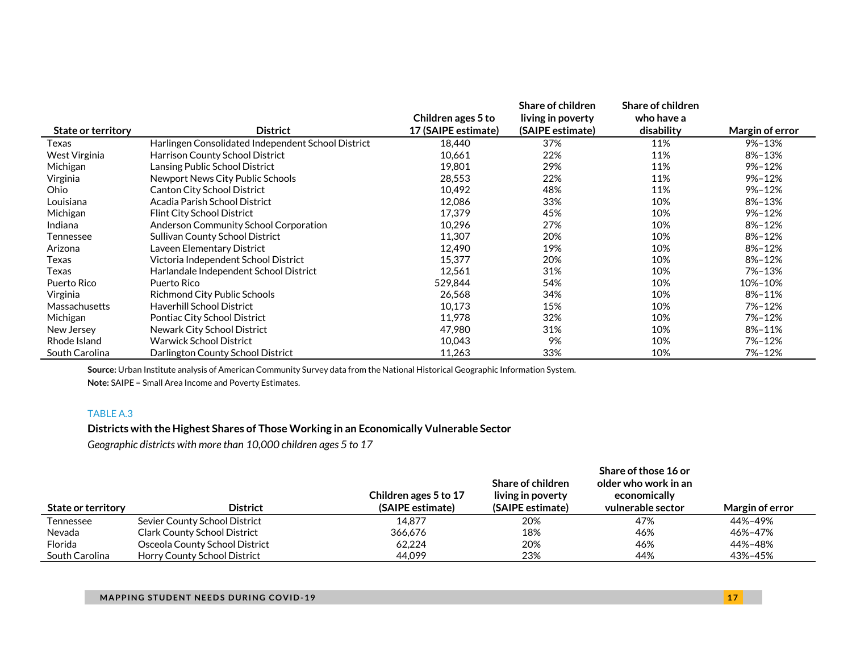|                           |                                                    |                                           | <b>Share of children</b>              | <b>Share of children</b><br>who have a |                 |
|---------------------------|----------------------------------------------------|-------------------------------------------|---------------------------------------|----------------------------------------|-----------------|
| <b>State or territory</b> | <b>District</b>                                    | Children ages 5 to<br>17 (SAIPE estimate) | living in poverty<br>(SAIPE estimate) | disability                             | Margin of error |
| Texas                     | Harlingen Consolidated Independent School District | 18,440                                    | 37%                                   | 11%                                    | 9%-13%          |
| West Virginia             | Harrison County School District                    | 10,661                                    | 22%                                   | 11%                                    | 8%-13%          |
| Michigan                  | Lansing Public School District                     | 19.801                                    | 29%                                   | 11%                                    | $9\% - 12\%$    |
| Virginia                  | Newport News City Public Schools                   | 28,553                                    | 22%                                   | 11%                                    | $9\% - 12\%$    |
| Ohio                      | Canton City School District                        | 10,492                                    | 48%                                   | 11%                                    | $9\% - 12\%$    |
| Louisiana                 | Acadia Parish School District                      | 12.086                                    | 33%                                   | 10%                                    | 8%-13%          |
| Michigan                  | Flint City School District                         | 17,379                                    | 45%                                   | 10%                                    | $9\% - 12\%$    |
| Indiana                   | Anderson Community School Corporation              | 10,296                                    | 27%                                   | 10%                                    | 8%-12%          |
| Tennessee                 | Sullivan County School District                    | 11,307                                    | 20%                                   | 10%                                    | 8%-12%          |
| Arizona                   | Laveen Elementary District                         | 12.490                                    | 19%                                   | 10%                                    | 8%-12%          |
| Texas                     | Victoria Independent School District               | 15.377                                    | 20%                                   | 10%                                    | 8%-12%          |
| Texas                     | Harlandale Independent School District             | 12,561                                    | 31%                                   | 10%                                    | 7%-13%          |
| Puerto Rico               | Puerto Rico                                        | 529,844                                   | 54%                                   | 10%                                    | 10%-10%         |
| Virginia                  | <b>Richmond City Public Schools</b>                | 26.568                                    | 34%                                   | 10%                                    | 8%-11%          |
| Massachusetts             | <b>Haverhill School District</b>                   | 10,173                                    | 15%                                   | 10%                                    | 7%-12%          |
| Michigan                  | <b>Pontiac City School District</b>                | 11,978                                    | 32%                                   | 10%                                    | 7%-12%          |
| New Jersey                | Newark City School District                        | 47,980                                    | 31%                                   | 10%                                    | 8%-11%          |
| Rhode Island              | <b>Warwick School District</b>                     | 10,043                                    | 9%                                    | 10%                                    | 7%-12%          |
| South Carolina            | Darlington County School District                  | 11,263                                    | 33%                                   | 10%                                    | 7%-12%          |

**Note:** SAIPE = Small Area Income and Poverty Estimates.

### TABLE A.3

# **Districts with the Highest Shares of Those Working in an Economically Vulnerable Sector**

|                           |                                | Children ages 5 to 17 | <b>Share of children</b><br>living in poverty | Share of those 16 or<br>older who work in an<br>economically |                 |
|---------------------------|--------------------------------|-----------------------|-----------------------------------------------|--------------------------------------------------------------|-----------------|
| <b>State or territory</b> | <b>District</b>                | (SAIPE estimate)      | (SAIPE estimate)                              | vulnerable sector                                            | Margin of error |
| Tennessee                 | Sevier County School District  | 14.877                | 20%                                           | 47%                                                          | 44%-49%         |
| Nevada                    | Clark County School District   | 366.676               | 18%                                           | 46%                                                          | 46%-47%         |
| Florida                   | Osceola County School District | 62.224                | 20%                                           | 46%                                                          | 44%-48%         |
| South Carolina            | Horry County School District   | 44.099                | 23%                                           | 44%                                                          | 43%-45%         |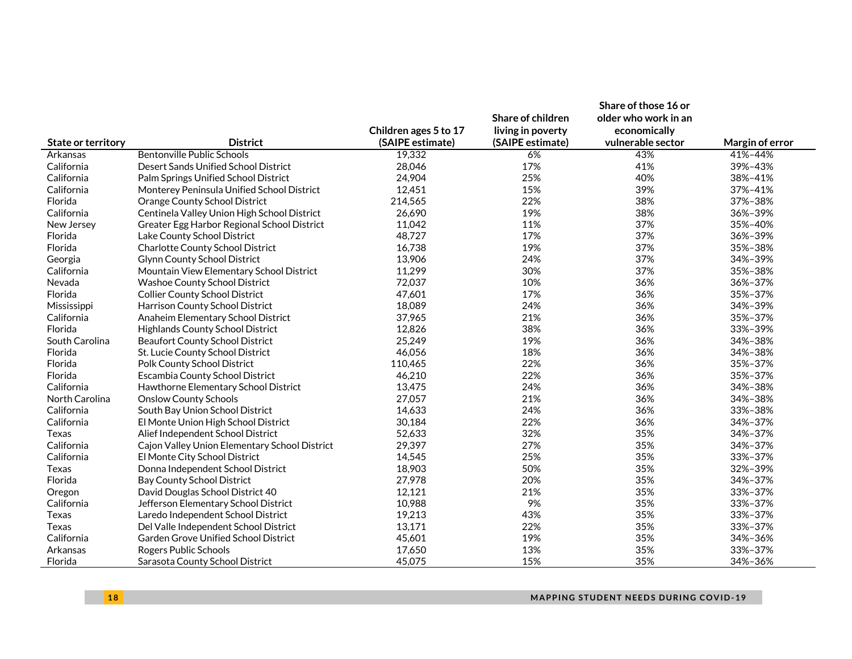|                           |                                               |                       |                   | Share of those 16 or |                 |
|---------------------------|-----------------------------------------------|-----------------------|-------------------|----------------------|-----------------|
|                           |                                               |                       | Share of children | older who work in an |                 |
|                           |                                               | Children ages 5 to 17 | living in poverty | economically         |                 |
| <b>State or territory</b> | <b>District</b>                               | (SAIPE estimate)      | (SAIPE estimate)  | vulnerable sector    | Margin of error |
| Arkansas                  | <b>Bentonville Public Schools</b>             | 19,332                | 6%                | 43%                  | 41%-44%         |
| California                | Desert Sands Unified School District          | 28,046                | 17%               | 41%                  | 39%-43%         |
| California                | Palm Springs Unified School District          | 24,904                | 25%               | 40%                  | 38%-41%         |
| California                | Monterey Peninsula Unified School District    | 12,451                | 15%               | 39%                  | 37%-41%         |
| Florida                   | Orange County School District                 | 214,565               | 22%               | 38%                  | 37%-38%         |
| California                | Centinela Valley Union High School District   | 26,690                | 19%               | 38%                  | 36%-39%         |
| New Jersey                | Greater Egg Harbor Regional School District   | 11,042                | 11%               | 37%                  | 35%-40%         |
| Florida                   | Lake County School District                   | 48,727                | 17%               | 37%                  | 36%-39%         |
| Florida                   | Charlotte County School District              | 16,738                | 19%               | 37%                  | 35%-38%         |
| Georgia                   | <b>Glynn County School District</b>           | 13,906                | 24%               | 37%                  | 34%-39%         |
| California                | Mountain View Elementary School District      | 11,299                | 30%               | 37%                  | 35%-38%         |
| Nevada                    | Washoe County School District                 | 72,037                | 10%               | 36%                  | 36%-37%         |
| Florida                   | <b>Collier County School District</b>         | 47,601                | 17%               | 36%                  | 35%-37%         |
| Mississippi               | Harrison County School District               | 18,089                | 24%               | 36%                  | 34%-39%         |
| California                | Anaheim Elementary School District            | 37,965                | 21%               | 36%                  | 35%-37%         |
| Florida                   | <b>Highlands County School District</b>       | 12,826                | 38%               | 36%                  | 33%-39%         |
| South Carolina            | <b>Beaufort County School District</b>        | 25,249                | 19%               | 36%                  | 34%-38%         |
| Florida                   | St. Lucie County School District              | 46,056                | 18%               | 36%                  | 34%-38%         |
| Florida                   | Polk County School District                   | 110,465               | 22%               | 36%                  | 35%-37%         |
| Florida                   | Escambia County School District               | 46,210                | 22%               | 36%                  | 35%-37%         |
| California                | Hawthorne Elementary School District          | 13,475                | 24%               | 36%                  | 34%-38%         |
| North Carolina            | <b>Onslow County Schools</b>                  | 27,057                | 21%               | 36%                  | 34%-38%         |
| California                | South Bay Union School District               | 14,633                | 24%               | 36%                  | 33%-38%         |
| California                | El Monte Union High School District           | 30,184                | 22%               | 36%                  | 34%-37%         |
| Texas                     | Alief Independent School District             | 52,633                | 32%               | 35%                  | 34%-37%         |
| California                | Cajon Valley Union Elementary School District | 29,397                | 27%               | 35%                  | 34%-37%         |
| California                | El Monte City School District                 | 14,545                | 25%               | 35%                  | 33%-37%         |
| Texas                     | Donna Independent School District             | 18,903                | 50%               | 35%                  | 32%-39%         |
| Florida                   | <b>Bay County School District</b>             | 27,978                | 20%               | 35%                  | 34%-37%         |
| Oregon                    | David Douglas School District 40              | 12,121                | 21%               | 35%                  | 33%-37%         |
| California                | Jefferson Elementary School District          | 10,988                | 9%                | 35%                  | 33%-37%         |
| Texas                     | Laredo Independent School District            | 19,213                | 43%               | 35%                  | 33%-37%         |
| Texas                     | Del Valle Independent School District         | 13,171                | 22%               | 35%                  | 33%-37%         |
| California                | Garden Grove Unified School District          | 45,601                | 19%               | 35%                  | 34%-36%         |
| Arkansas                  | <b>Rogers Public Schools</b>                  | 17,650                | 13%               | 35%                  | 33%-37%         |
| Florida                   | Sarasota County School District               | 45,075                | 15%               | 35%                  | 34%-36%         |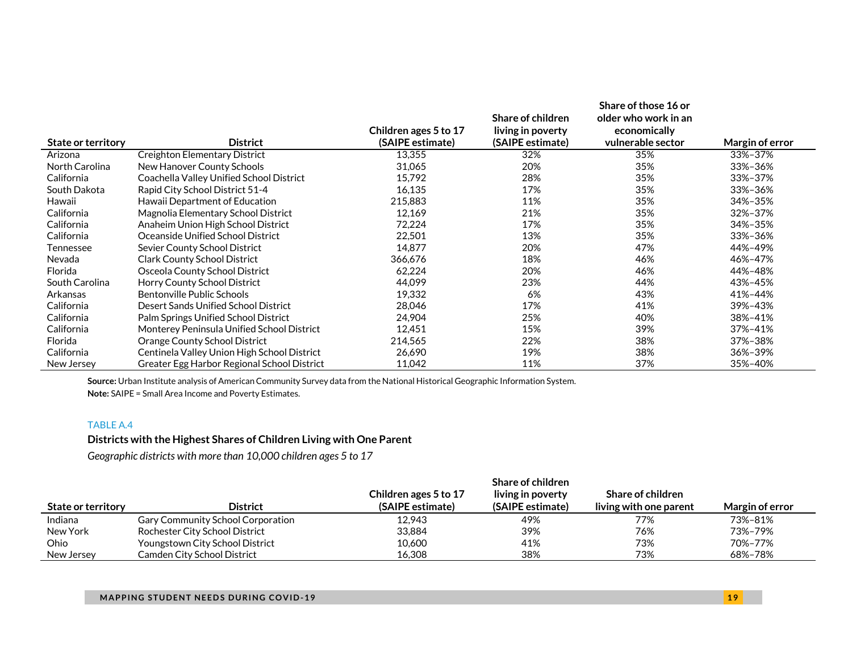|                           |                                             |                       | <b>Share of children</b> | Share of those 16 or<br>older who work in an |                 |
|---------------------------|---------------------------------------------|-----------------------|--------------------------|----------------------------------------------|-----------------|
|                           |                                             | Children ages 5 to 17 | living in poverty        | economically                                 |                 |
| <b>State or territory</b> | <b>District</b>                             | (SAIPE estimate)      | (SAIPE estimate)         | vulnerable sector                            | Margin of error |
| Arizona                   | Creighton Elementary District               | 13,355                | 32%                      | 35%                                          | 33%-37%         |
| North Carolina            | New Hanover County Schools                  | 31,065                | 20%                      | 35%                                          | 33%-36%         |
| California                | Coachella Valley Unified School District    | 15,792                | 28%                      | 35%                                          | 33%-37%         |
| South Dakota              | Rapid City School District 51-4             | 16,135                | 17%                      | 35%                                          | 33%-36%         |
| Hawaii                    | Hawaii Department of Education              | 215,883               | 11%                      | 35%                                          | 34%-35%         |
| California                | Magnolia Elementary School District         | 12,169                | 21%                      | 35%                                          | 32%-37%         |
| California                | Anaheim Union High School District          | 72,224                | 17%                      | 35%                                          | 34%-35%         |
| California                | Oceanside Unified School District           | 22,501                | 13%                      | 35%                                          | 33%-36%         |
| Tennessee                 | Sevier County School District               | 14,877                | 20%                      | 47%                                          | 44%-49%         |
| Nevada                    | <b>Clark County School District</b>         | 366,676               | 18%                      | 46%                                          | 46%-47%         |
| Florida                   | Osceola County School District              | 62,224                | 20%                      | 46%                                          | 44%-48%         |
| South Carolina            | Horry County School District                | 44,099                | 23%                      | 44%                                          | 43%-45%         |
| Arkansas                  | <b>Bentonville Public Schools</b>           | 19,332                | 6%                       | 43%                                          | 41%-44%         |
| California                | Desert Sands Unified School District        | 28,046                | 17%                      | 41%                                          | 39%-43%         |
| California                | Palm Springs Unified School District        | 24,904                | 25%                      | 40%                                          | 38%-41%         |
| California                | Monterey Peninsula Unified School District  | 12,451                | 15%                      | 39%                                          | 37%-41%         |
| Florida                   | Orange County School District               | 214,565               | 22%                      | 38%                                          | 37%-38%         |
| California                | Centinela Valley Union High School District | 26,690                | 19%                      | 38%                                          | 36%-39%         |
| New Jersey                | Greater Egg Harbor Regional School District | 11,042                | 11%                      | 37%                                          | 35%-40%         |

**Note:** SAIPE = Small Area Income and Poverty Estimates.

### TABLE A.4

# **Districts with the Highest Shares of Children Living with One Parent**

|                           |                                          |                       | Share of children |                        |                        |
|---------------------------|------------------------------------------|-----------------------|-------------------|------------------------|------------------------|
|                           |                                          | Children ages 5 to 17 | living in poverty | Share of children      |                        |
| <b>State or territory</b> | <b>District</b>                          | (SAIPE estimate)      | (SAIPE estimate)  | living with one parent | <b>Margin of error</b> |
| Indiana                   | <b>Gary Community School Corporation</b> | 12,943                | 49%               | 77%                    | 73%-81%                |
| New York                  | Rochester City School District           | 33.884                | 39%               | 76%                    | 73%-79%                |
| Ohio                      | Youngstown City School District          | 10,600                | 41%               | 73%                    | 70%-77%                |
| New Jersey                | Camden City School District              | 16.308                | 38%               | 73%                    | 68%-78%                |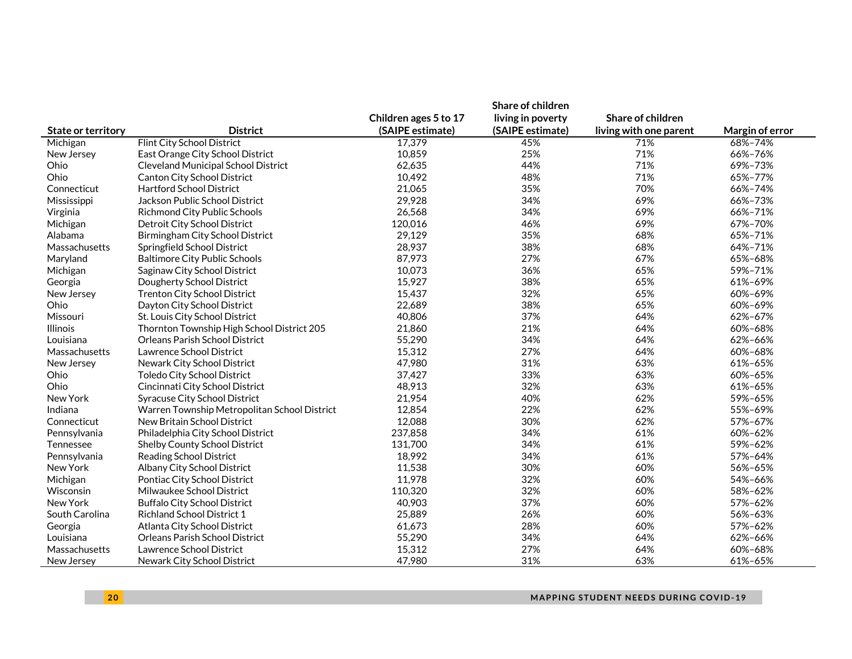|                           |                                              |                       | Share of children |                        |                 |
|---------------------------|----------------------------------------------|-----------------------|-------------------|------------------------|-----------------|
|                           |                                              | Children ages 5 to 17 | living in poverty | Share of children      |                 |
| <b>State or territory</b> | <b>District</b>                              | (SAIPE estimate)      | (SAIPE estimate)  | living with one parent | Margin of error |
| Michigan                  | <b>Flint City School District</b>            | 17,379                | 45%               | 71%                    | 68%-74%         |
| New Jersey                | East Orange City School District             | 10,859                | 25%               | 71%                    | 66%-76%         |
| Ohio                      | Cleveland Municipal School District          | 62,635                | 44%               | 71%                    | 69%-73%         |
| Ohio                      | Canton City School District                  | 10,492                | 48%               | 71%                    | 65%-77%         |
| Connecticut               | Hartford School District                     | 21,065                | 35%               | 70%                    | 66%-74%         |
| Mississippi               | Jackson Public School District               | 29,928                | 34%               | 69%                    | 66%-73%         |
| Virginia                  | <b>Richmond City Public Schools</b>          | 26,568                | 34%               | 69%                    | 66%-71%         |
| Michigan                  | Detroit City School District                 | 120,016               | 46%               | 69%                    | 67%-70%         |
| Alabama                   | Birmingham City School District              | 29,129                | 35%               | 68%                    | 65%-71%         |
| Massachusetts             | Springfield School District                  | 28,937                | 38%               | 68%                    | 64%-71%         |
| Maryland                  | <b>Baltimore City Public Schools</b>         | 87,973                | 27%               | 67%                    | 65%-68%         |
| Michigan                  | Saginaw City School District                 | 10,073                | 36%               | 65%                    | 59%-71%         |
| Georgia                   | Dougherty School District                    | 15,927                | 38%               | 65%                    | 61%-69%         |
| New Jersey                | <b>Trenton City School District</b>          | 15,437                | 32%               | 65%                    | 60%-69%         |
| Ohio                      | Dayton City School District                  | 22,689                | 38%               | 65%                    | 60%-69%         |
| Missouri                  | St. Louis City School District               | 40,806                | 37%               | 64%                    | 62%-67%         |
| <b>Illinois</b>           | Thornton Township High School District 205   | 21,860                | 21%               | 64%                    | 60%-68%         |
| Louisiana                 | <b>Orleans Parish School District</b>        | 55,290                | 34%               | 64%                    | 62%-66%         |
| Massachusetts             | Lawrence School District                     | 15,312                | 27%               | 64%                    | 60%-68%         |
| New Jersey                | Newark City School District                  | 47,980                | 31%               | 63%                    | 61%-65%         |
| Ohio                      | <b>Toledo City School District</b>           | 37,427                | 33%               | 63%                    | 60%-65%         |
| Ohio                      | Cincinnati City School District              | 48,913                | 32%               | 63%                    | 61%-65%         |
| New York                  | <b>Syracuse City School District</b>         | 21,954                | 40%               | 62%                    | 59%-65%         |
| Indiana                   | Warren Township Metropolitan School District | 12,854                | 22%               | 62%                    | 55%-69%         |
| Connecticut               | New Britain School District                  | 12,088                | 30%               | 62%                    | 57%-67%         |
| Pennsylvania              | Philadelphia City School District            | 237,858               | 34%               | 61%                    | 60%-62%         |
| Tennessee                 | <b>Shelby County School District</b>         | 131,700               | 34%               | 61%                    | 59%-62%         |
| Pennsylvania              | Reading School District                      | 18,992                | 34%               | 61%                    | 57%-64%         |
| New York                  | Albany City School District                  | 11,538                | 30%               | 60%                    | 56%-65%         |
| Michigan                  | Pontiac City School District                 | 11,978                | 32%               | 60%                    | 54%-66%         |
| Wisconsin                 | Milwaukee School District                    | 110,320               | 32%               | 60%                    | 58%-62%         |
| New York                  | <b>Buffalo City School District</b>          | 40,903                | 37%               | 60%                    | 57%-62%         |
| South Carolina            | <b>Richland School District 1</b>            | 25,889                | 26%               | 60%                    | 56%-63%         |
| Georgia                   | Atlanta City School District                 | 61,673                | 28%               | 60%                    | 57%-62%         |
| Louisiana                 | Orleans Parish School District               | 55,290                | 34%               | 64%                    | 62%-66%         |
| Massachusetts             | Lawrence School District                     | 15,312                | 27%               | 64%                    | 60%-68%         |
| New Jersey                | Newark City School District                  | 47,980                | 31%               | 63%                    | 61%-65%         |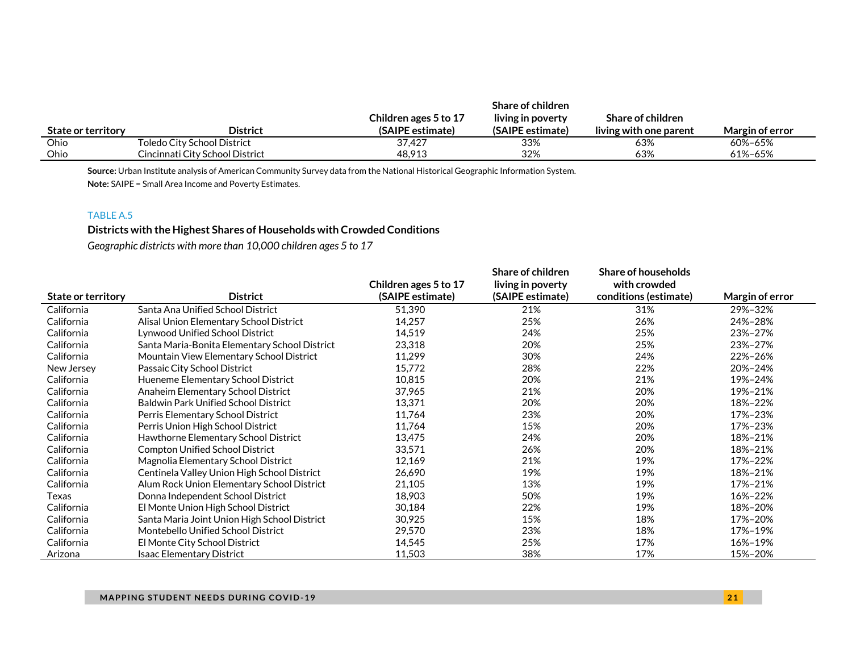|                           |                                 |                       | Share of children |                        |                        |
|---------------------------|---------------------------------|-----------------------|-------------------|------------------------|------------------------|
|                           |                                 | Children ages 5 to 17 | living in poverty | Share of children      |                        |
| <b>State or territory</b> | <b>District</b>                 | (SAIPE estimate)      | (SAIPE estimate)  | living with one parent | <b>Margin of error</b> |
| Ohio                      | Toledo Citv School District     | 37.427                | 33%               | 63%                    | 60%-65%                |
| Ohio                      | Cincinnati City School District | 48.913                | 32%               | 63%                    | 61%-65%                |

**Note:** SAIPE = Small Area Income and Poverty Estimates.

#### TABLE A.5

# **Districts with the Highest Shares of Households with Crowded Conditions**

|                           |                                               |                       | Share of children | <b>Share of households</b> |                 |
|---------------------------|-----------------------------------------------|-----------------------|-------------------|----------------------------|-----------------|
|                           |                                               | Children ages 5 to 17 | living in poverty | with crowded               |                 |
| <b>State or territory</b> | <b>District</b>                               | (SAIPE estimate)      | (SAIPE estimate)  | conditions (estimate)      | Margin of error |
| California                | Santa Ana Unified School District             | 51,390                | 21%               | 31%                        | 29%-32%         |
| California                | Alisal Union Elementary School District       | 14,257                | 25%               | 26%                        | 24%-28%         |
| California                | Lynwood Unified School District               | 14,519                | 24%               | 25%                        | 23%-27%         |
| California                | Santa Maria-Bonita Elementary School District | 23,318                | 20%               | 25%                        | 23%-27%         |
| California                | Mountain View Elementary School District      | 11,299                | 30%               | 24%                        | 22%-26%         |
| New Jersey                | Passaic City School District                  | 15,772                | 28%               | 22%                        | 20%-24%         |
| California                | Hueneme Elementary School District            | 10,815                | 20%               | 21%                        | 19%-24%         |
| California                | Anaheim Elementary School District            | 37,965                | 21%               | 20%                        | 19%-21%         |
| California                | <b>Baldwin Park Unified School District</b>   | 13,371                | 20%               | 20%                        | 18%-22%         |
| California                | Perris Elementary School District             | 11,764                | 23%               | 20%                        | 17%-23%         |
| California                | Perris Union High School District             | 11,764                | 15%               | 20%                        | 17%-23%         |
| California                | Hawthorne Elementary School District          | 13,475                | 24%               | 20%                        | 18%-21%         |
| California                | <b>Compton Unified School District</b>        | 33,571                | 26%               | 20%                        | 18%-21%         |
| California                | Magnolia Elementary School District           | 12,169                | 21%               | 19%                        | 17%-22%         |
| California                | Centinela Valley Union High School District   | 26,690                | 19%               | 19%                        | 18%-21%         |
| California                | Alum Rock Union Elementary School District    | 21,105                | 13%               | 19%                        | 17%-21%         |
| Texas                     | Donna Independent School District             | 18,903                | 50%               | 19%                        | 16%-22%         |
| California                | El Monte Union High School District           | 30,184                | 22%               | 19%                        | 18%-20%         |
| California                | Santa Maria Joint Union High School District  | 30,925                | 15%               | 18%                        | 17%-20%         |
| California                | Montebello Unified School District            | 29,570                | 23%               | 18%                        | 17%-19%         |
| California                | El Monte City School District                 | 14,545                | 25%               | 17%                        | 16%-19%         |
| Arizona                   | Isaac Elementary District                     | 11.503                | 38%               | 17%                        | 15%-20%         |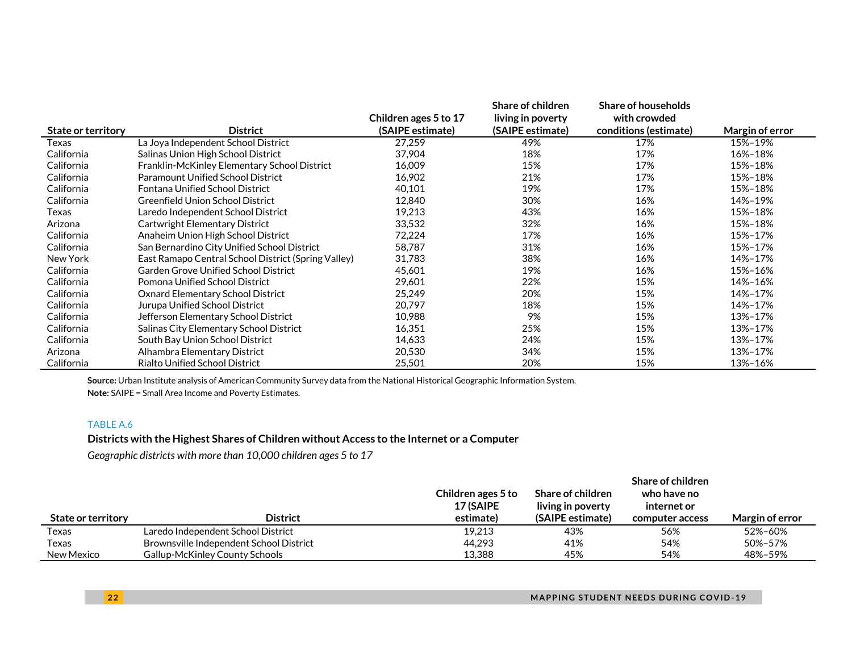|                    |                                                     |                       | Share of children | <b>Share of households</b> |                 |
|--------------------|-----------------------------------------------------|-----------------------|-------------------|----------------------------|-----------------|
|                    |                                                     | Children ages 5 to 17 | living in poverty | with crowded               |                 |
| State or territory | <b>District</b>                                     | (SAIPE estimate)      | (SAIPE estimate)  | conditions (estimate)      | Margin of error |
| Texas              | La Joya Independent School District                 | 27,259                | 49%               | 17%                        | 15%-19%         |
| California         | Salinas Union High School District                  | 37.904                | 18%               | 17%                        | 16%-18%         |
| California         | Franklin-McKinley Elementary School District        | 16.009                | 15%               | 17%                        | 15%-18%         |
| California         | <b>Paramount Unified School District</b>            | 16,902                | 21%               | 17%                        | 15%-18%         |
| California         | <b>Fontana Unified School District</b>              | 40,101                | 19%               | 17%                        | 15%-18%         |
| California         | <b>Greenfield Union School District</b>             | 12,840                | 30%               | 16%                        | 14%-19%         |
| Texas              | Laredo Independent School District                  | 19,213                | 43%               | 16%                        | 15%-18%         |
| Arizona            | Cartwright Elementary District                      | 33,532                | 32%               | 16%                        | 15%-18%         |
| California         | Anaheim Union High School District                  | 72,224                | 17%               | 16%                        | 15%-17%         |
| California         | San Bernardino City Unified School District         | 58,787                | 31%               | 16%                        | 15%-17%         |
| New York           | East Ramapo Central School District (Spring Valley) | 31,783                | 38%               | 16%                        | 14%-17%         |
| California         | <b>Garden Grove Unified School District</b>         | 45,601                | 19%               | 16%                        | 15%-16%         |
| California         | Pomona Unified School District                      | 29,601                | 22%               | 15%                        | 14%-16%         |
| California         | Oxnard Elementary School District                   | 25,249                | 20%               | 15%                        | 14%-17%         |
| California         | Jurupa Unified School District                      | 20,797                | 18%               | 15%                        | 14%-17%         |
| California         | Jefferson Elementary School District                | 10,988                | 9%                | 15%                        | 13%-17%         |
| California         | Salinas City Elementary School District             | 16,351                | 25%               | 15%                        | 13%-17%         |
| California         | South Bay Union School District                     | 14,633                | 24%               | 15%                        | 13%-17%         |
| Arizona            | Alhambra Elementary District                        | 20,530                | 34%               | 15%                        | 13%-17%         |
| California         | <b>Rialto Unified School District</b>               | 25,501                | 20%               | 15%                        | 13%-16%         |

**Note:** SAIPE = Small Area Income and Poverty Estimates.

### TABLE A.6

# **Districts with the Highest Shares of Children without Access to the Internet or a Computer**

|                           |                                         | Share of children<br><b>Share of children</b><br>Children ages 5 to<br>who have no<br>17 (SAIPE<br>living in poverty<br>internet or |                  |                 |                        |
|---------------------------|-----------------------------------------|-------------------------------------------------------------------------------------------------------------------------------------|------------------|-----------------|------------------------|
| <b>State or territory</b> | <b>District</b>                         | estimate)                                                                                                                           | (SAIPE estimate) | computer access | <b>Margin of error</b> |
| Texas                     | Laredo Independent School District      | 19,213                                                                                                                              | 43%              | 56%             | 52%-60%                |
| Texas                     | Brownsville Independent School District | 44,293                                                                                                                              | 41%              | 54%             | 50%-57%                |
| New Mexico                | Gallup-McKinley County Schools          | 13.388                                                                                                                              | 45%              | 54%             | 48%-59%                |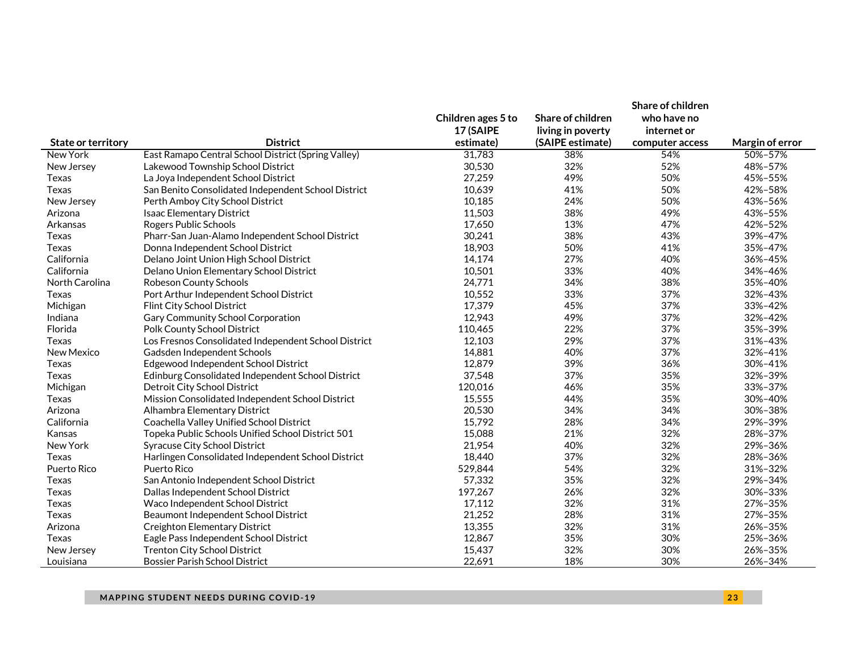|                           |                                                      |                    |                   | Share of children |                 |
|---------------------------|------------------------------------------------------|--------------------|-------------------|-------------------|-----------------|
|                           |                                                      | Children ages 5 to | Share of children | who have no       |                 |
|                           |                                                      | 17 (SAIPE          | living in poverty | internet or       |                 |
| <b>State or territory</b> | <b>District</b>                                      | estimate)          | (SAIPE estimate)  | computer access   | Margin of error |
| New York                  | East Ramapo Central School District (Spring Valley)  | 31,783             | 38%               | 54%               | 50%-57%         |
| New Jersey                | Lakewood Township School District                    | 30,530             | 32%               | 52%               | 48%-57%         |
| Texas                     | La Joya Independent School District                  | 27,259             | 49%               | 50%               | 45%-55%         |
| Texas                     | San Benito Consolidated Independent School District  | 10,639             | 41%               | 50%               | 42%-58%         |
| New Jersey                | Perth Amboy City School District                     | 10,185             | 24%               | 50%               | 43%-56%         |
| Arizona                   | Isaac Elementary District                            | 11,503             | 38%               | 49%               | 43%-55%         |
| Arkansas                  | <b>Rogers Public Schools</b>                         | 17,650             | 13%               | 47%               | 42%-52%         |
| Texas                     | Pharr-San Juan-Alamo Independent School District     | 30,241             | 38%               | 43%               | 39%-47%         |
| Texas                     | Donna Independent School District                    | 18,903             | 50%               | 41%               | 35%-47%         |
| California                | Delano Joint Union High School District              | 14,174             | 27%               | 40%               | 36%-45%         |
| California                | Delano Union Elementary School District              | 10,501             | 33%               | 40%               | 34%-46%         |
| North Carolina            | Robeson County Schools                               | 24,771             | 34%               | 38%               | 35%-40%         |
| Texas                     | Port Arthur Independent School District              | 10,552             | 33%               | 37%               | 32%-43%         |
| Michigan                  | Flint City School District                           | 17,379             | 45%               | 37%               | 33%-42%         |
| Indiana                   | Gary Community School Corporation                    | 12,943             | 49%               | 37%               | 32%-42%         |
| Florida                   | Polk County School District                          | 110,465            | 22%               | 37%               | 35%-39%         |
| Texas                     | Los Fresnos Consolidated Independent School District | 12,103             | 29%               | 37%               | 31%-43%         |
| New Mexico                | Gadsden Independent Schools                          | 14,881             | 40%               | 37%               | 32%-41%         |
| Texas                     | Edgewood Independent School District                 | 12,879             | 39%               | 36%               | 30%-41%         |
| Texas                     | Edinburg Consolidated Independent School District    | 37,548             | 37%               | 35%               | 32%-39%         |
| Michigan                  | Detroit City School District                         | 120,016            | 46%               | 35%               | 33%-37%         |
| Texas                     | Mission Consolidated Independent School District     | 15,555             | 44%               | 35%               | 30%-40%         |
| Arizona                   | Alhambra Elementary District                         | 20,530             | 34%               | 34%               | 30%-38%         |
| California                | Coachella Valley Unified School District             | 15,792             | 28%               | 34%               | 29%-39%         |
| Kansas                    | Topeka Public Schools Unified School District 501    | 15,088             | 21%               | 32%               | 28%-37%         |
| New York                  | Syracuse City School District                        | 21,954             | 40%               | 32%               | 29%-36%         |
| Texas                     | Harlingen Consolidated Independent School District   | 18,440             | 37%               | 32%               | 28%-36%         |
| Puerto Rico               | Puerto Rico                                          | 529,844            | 54%               | 32%               | 31%-32%         |
| Texas                     | San Antonio Independent School District              | 57,332             | 35%               | 32%               | 29%-34%         |
| Texas                     | Dallas Independent School District                   | 197,267            | 26%               | 32%               | 30%-33%         |
| Texas                     | Waco Independent School District                     | 17,112             | 32%               | 31%               | 27%-35%         |
| Texas                     | Beaumont Independent School District                 | 21,252             | 28%               | 31%               | 27%-35%         |
| Arizona                   | Creighton Elementary District                        | 13,355             | 32%               | 31%               | 26%-35%         |
| Texas                     | Eagle Pass Independent School District               | 12,867             | 35%               | 30%               | 25%-36%         |
| New Jersey                | <b>Trenton City School District</b>                  | 15,437             | 32%               | 30%               | 26%-35%         |
| Louisiana                 | <b>Bossier Parish School District</b>                | 22,691             | 18%               | 30%               | 26%-34%         |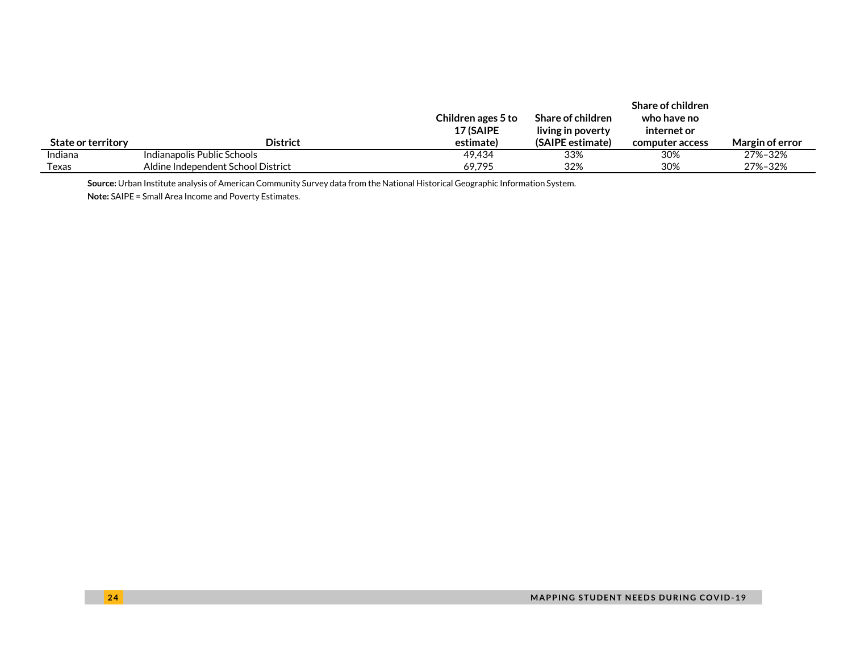|                           |                                    |                    |                          | Share of children |                        |
|---------------------------|------------------------------------|--------------------|--------------------------|-------------------|------------------------|
|                           |                                    | Children ages 5 to | <b>Share of children</b> | who have no       |                        |
|                           |                                    | 17 (SAIPE          | living in poverty        | internet or       |                        |
| <b>State or territory</b> | <b>District</b>                    | estimate)          | (SAIPE estimate)         | computer access   | <b>Margin of error</b> |
| Indiana                   | Indianapolis Public Schools        | 49.434             | 33%                      | 30%               | 27%-32%                |
| Texas                     | Aldine Independent School District | 69.795             | 32%                      | 30%               | 27%-32%                |

**Note:** SAIPE = Small Area Income and Poverty Estimates.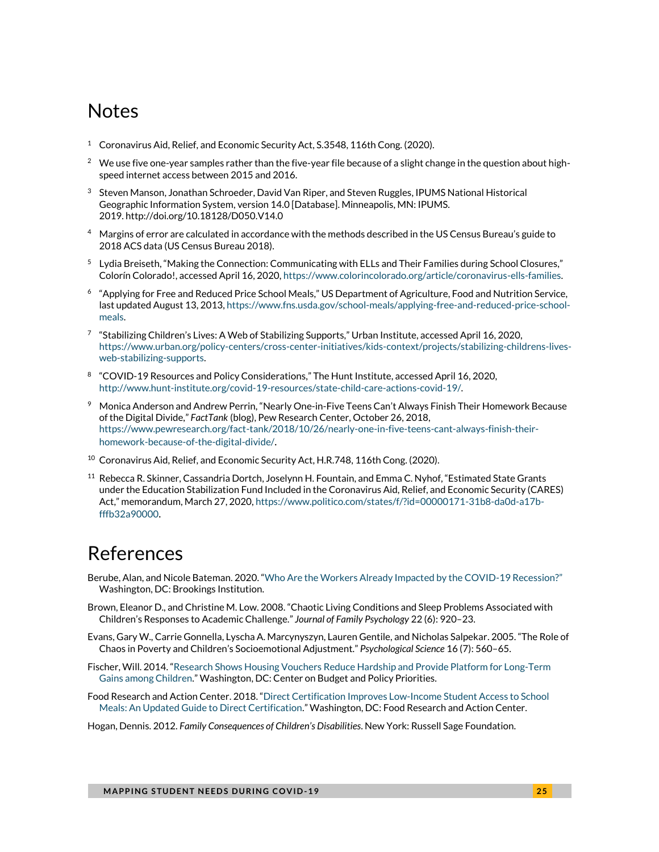# Notes

- <sup>1</sup> Coronavirus Aid, Relief, and Economic Security Act, S.3548, 116th Cong. (2020).
- $^2$  We use five one-year samples rather than the five-year file because of a slight change in the question about highspeed internet access between 2015 and 2016.
- $3$  Steven Manson, Jonathan Schroeder, David Van Riper, and Steven Ruggles, IPUMS National Historical Geographic Information System, version 14.0 [Database]. Minneapolis, MN: IPUMS. 2019. <http://doi.org/10.18128/D050.V14.0>
- <sup>4</sup> Margins of error are calculated in accordance with the methods described in the US Census Bureau's guide to 2018 ACS data (US Census Bureau 2018).
- <sup>5</sup> Lydia Breiseth, "Making the Connection: Communicating with ELLs and Their Families during School Closures," Colorín Colorado!, accessed April 16, 2020[, https://www.colorincolorado.org/article/coronavirus-ells-families.](https://www.colorincolorado.org/article/coronavirus-ells-families)
- 6 "Applying for Free and Reduced Price School Meals," US Department of Agriculture, Food and Nutrition Service, last updated August 13, 2013[, https://www.fns.usda.gov/school-meals/applying-free-and-reduced-price-school](https://www.fns.usda.gov/school-meals/applying-free-and-reduced-price-school-meals)[meals.](https://www.fns.usda.gov/school-meals/applying-free-and-reduced-price-school-meals)
- 7 "Stabilizing Children's Lives: A Web of Stabilizing Supports," Urban Institute, accessed April 16, 2020, [https://www.urban.org/policy-centers/cross-center-initiatives/kids-context/projects/stabilizing-childrens-lives](https://www.urban.org/policy-centers/cross-center-initiatives/kids-context/projects/stabilizing-childrens-lives-web-stabilizing-supports)[web-stabilizing-supports.](https://www.urban.org/policy-centers/cross-center-initiatives/kids-context/projects/stabilizing-childrens-lives-web-stabilizing-supports)
- <sup>8</sup> "COVID-19 Resources and Policy Considerations," The Hunt Institute, accessed April 16, 2020, [http://www.hunt-institute.org/covid-19-resources/state-child-care-actions-covid-19/.](http://www.hunt-institute.org/covid-19-resources/state-child-care-actions-covid-19/)
- <sup>9</sup> Monica Anderson and Andrew Perrin, "Nearly One-in-Five Teens Can't Always Finish Their Homework Because of the Digital Divide," *FactTank* (blog), Pew Research Center, October 26, 2018, [https://www.pewresearch.org/fact-tank/2018/10/26/nearly-one-in-five-teens-cant-always-finish-their](https://www.pewresearch.org/fact-tank/2018/10/26/nearly-one-in-five-teens-cant-always-finish-their-homework-because-of-the-digital-divide/)[homework-because-of-the-digital-divide/](https://www.pewresearch.org/fact-tank/2018/10/26/nearly-one-in-five-teens-cant-always-finish-their-homework-because-of-the-digital-divide/).
- <sup>10</sup> Coronavirus Aid, Relief, and Economic Security Act, H.R.748, 116th Cong. (2020).
- <sup>11</sup> Rebecca R. Skinner, Cassandria Dortch, Joselynn H. Fountain, and Emma C. Nyhof, "Estimated State Grants under the Education Stabilization Fund Included in the Coronavirus Aid, Relief, and Economic Security (CARES) Act," memorandum, March 27, 2020[, https://www.politico.com/states/f/?id=00000171-31b8-da0d-a17b](https://www.politico.com/states/f/?id=00000171-31b8-da0d-a17b-fffb32a90000)[fffb32a90000](https://www.politico.com/states/f/?id=00000171-31b8-da0d-a17b-fffb32a90000).

# References

- Berube, Alan, and Nicole Bateman. 2020. "[Who Are the Workers Already Impacted by the COVID-19 Recession?](https://www.brookings.edu/research/who-are-the-workers-already-impacted-by-the-covid-19-recession/)" Washington, DC: Brookings Institution.
- Brown, Eleanor D., and Christine M. Low. 2008. "Chaotic Living Conditions and Sleep Problems Associated with Children's Responses to Academic Challenge." *Journal of Family Psychology* 22 (6): 920–23.
- Evans, Gary W., Carrie Gonnella, Lyscha A. Marcynyszyn, Lauren Gentile, and Nicholas Salpekar. 2005. "The Role of Chaos in Poverty and Children's Socioemotional Adjustment." *Psychological Science* 16 (7): 560–65.
- Fischer, Will. 2014. "[Research Shows Housing Vouchers Reduce Hardship and Provide Platform for Long-Term](https://www.cbpp.org/sites/default/files/atoms/files/3-10-14hous.pdf)  [Gains among Children.](https://www.cbpp.org/sites/default/files/atoms/files/3-10-14hous.pdf)" Washington, DC: Center on Budget and Policy Priorities.
- Food Research and Action Center. 2018. "[Direct Certification Improves Low-Income Student Access to School](https://frac.org/wp-content/uploads/direct-cert-improves-low-income-school-meal-access.pdf)  [Meals: An Updated Guide to Direct Certification.](https://frac.org/wp-content/uploads/direct-cert-improves-low-income-school-meal-access.pdf)" Washington, DC: Food Research and Action Center.

Hogan, Dennis. 2012. *Family Consequences of Children's Disabilities*. New York: Russell Sage Foundation.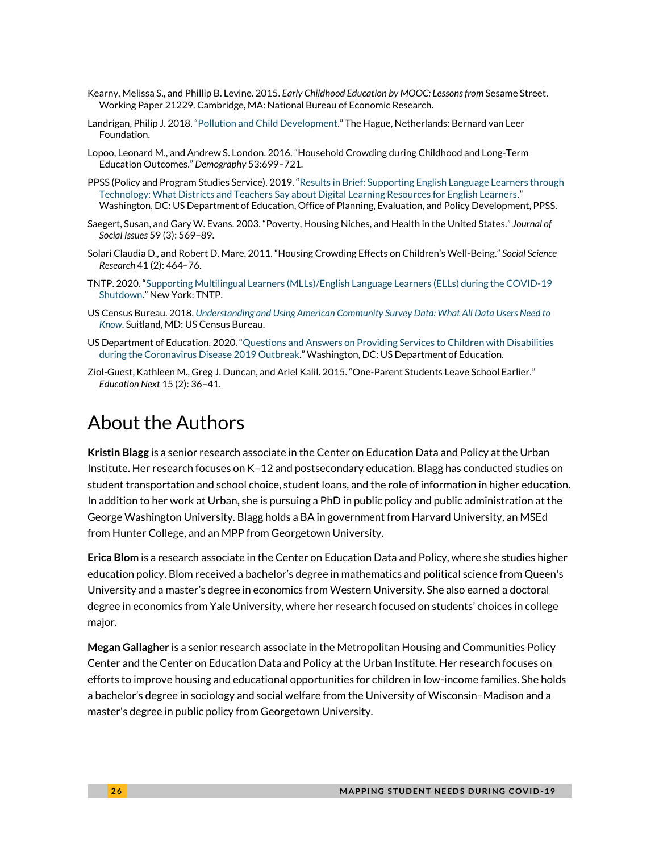- Kearny, Melissa S., and Phillip B. Levine. 2015. *Early Childhood Education by MOOC: Lessons from* Sesame Street. Working Paper 21229. Cambridge, MA: National Bureau of Economic Research.
- Landrigan, Philip J. 2018. "[Pollution and Child Development.](https://bernardvanleer.org/app/uploads/2018/06/4.1-Pollution-and-child-development.pdf)" The Hague, Netherlands: Bernard van Leer Foundation.
- Lopoo, Leonard M., and Andrew S. London. 2016. "Household Crowding during Childhood and Long-Term Education Outcomes." *Demography* 53:699–721.
- PPSS (Policy and Program Studies Service). 2019. "[Results in Brief: Supporting English Language Learners through](https://www2.ed.gov/rschstat/eval/title-iii/180414-dlr-results-in-brief.pdf)  [Technology: What Districts and Teachers Say about Digital Learning Resources for English Learners](https://www2.ed.gov/rschstat/eval/title-iii/180414-dlr-results-in-brief.pdf)." Washington, DC: US Department of Education, Office of Planning, Evaluation, and Policy Development, PPSS.
- Saegert, Susan, and Gary W. Evans. 2003. "Poverty, Housing Niches, and Health in the United States." *Journal of Social Issues* 59 (3): 569–89.
- Solari Claudia D., and Robert D. Mare. 2011. "Housing Crowding Effects on Children's Well-Being." *Social Science Research* 41 (2): 464–76.
- TNTP. 2020. "[Supporting Multilingual Learners \(MLLs\)/English Language Learners \(ELLs\) during the COVID-19](https://tntp.org/assets/documents/ELL_and_ELD_At-Home_Learning_Support-TNTP.pdf)  [Shutdown.](https://tntp.org/assets/documents/ELL_and_ELD_At-Home_Learning_Support-TNTP.pdf)" New York: TNTP.
- US Census Bureau. 2018. *[Understanding and Using American Community Survey Data: What All Data Users Need to](https://www.census.gov/programs-surveys/acs/guidance/handbooks/general.html)  [Know](https://www.census.gov/programs-surveys/acs/guidance/handbooks/general.html)*. Suitland, MD: US Census Bureau.
- US Department of Education. 2020. "[Questions and Answers on Providing Services to Children with Disabilities](https://www2.ed.gov/policy/speced/guid/idea/memosdcltrs/qa-covid-19-03-12-2020.pdf)  [during the Coronavirus Disease 2019 Outbreak.](https://www2.ed.gov/policy/speced/guid/idea/memosdcltrs/qa-covid-19-03-12-2020.pdf)" Washington, DC: US Department of Education.
- Ziol-Guest, Kathleen M., Greg J. Duncan, and Ariel Kalil. 2015. "One-Parent Students Leave School Earlier." *Education Next* 15 (2): 36–41.

# About the Authors

**Kristin Blagg** is a senior research associate in the Center on Education Data and Policy at the Urban Institute. Her research focuses on K–12 and postsecondary education. Blagg has conducted studies on student transportation and school choice, student loans, and the role of information in higher education. In addition to her work at Urban, she is pursuing a PhD in public policy and public administration at the George Washington University. Blagg holds a BA in government from Harvard University, an MSEd from Hunter College, and an MPP from Georgetown University.

**Erica Blom** is a research associate in the Center on Education Data and Policy, where she studies higher education policy. Blom received a bachelor's degree in mathematics and political science from Queen's University and a master's degree in economics from Western University. She also earned a doctoral degree in economics from Yale University, where her research focused on students' choices in college major.

**Megan Gallagher** is a senior research associate in the Metropolitan Housing and Communities Policy Center and the Center on Education Data and Policy at the Urban Institute. Her research focuses on efforts to improve housing and educational opportunities for children in low-income families. She holds a bachelor's degree in sociology and social welfare from the University of Wisconsin–Madison and a master's degree in public policy from Georgetown University.